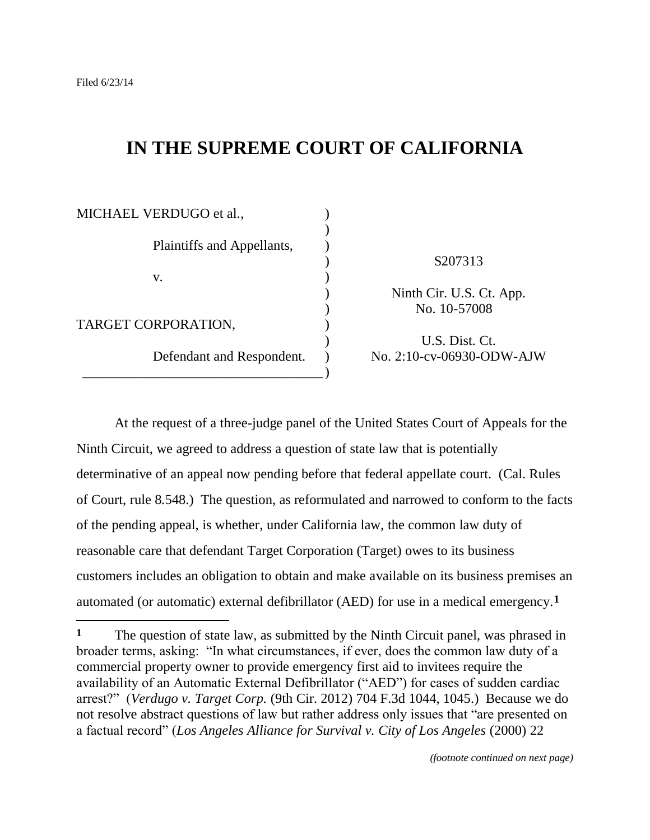$\overline{a}$ 

# **IN THE SUPREME COURT OF CALIFORNIA**

| MICHAEL VERDUGO et al.,    |                                          |
|----------------------------|------------------------------------------|
| Plaintiffs and Appellants, | S207313                                  |
| v.                         |                                          |
|                            | Ninth Cir. U.S. Ct. App.<br>No. 10-57008 |
| TARGET CORPORATION,        |                                          |
|                            | U.S. Dist. Ct.                           |
| Defendant and Respondent.  | No. 2:10-cv-06930-ODW-AJW                |

At the request of a three-judge panel of the United States Court of Appeals for the Ninth Circuit, we agreed to address a question of state law that is potentially determinative of an appeal now pending before that federal appellate court. (Cal. Rules of Court, rule 8.548.) The question, as reformulated and narrowed to conform to the facts of the pending appeal, is whether, under California law, the common law duty of reasonable care that defendant Target Corporation (Target) owes to its business customers includes an obligation to obtain and make available on its business premises an automated (or automatic) external defibrillator (AED) for use in a medical emergency.**1**

**<sup>1</sup>** The question of state law, as submitted by the Ninth Circuit panel, was phrased in broader terms, asking: "In what circumstances, if ever, does the common law duty of a commercial property owner to provide emergency first aid to invitees require the availability of an Automatic External Defibrillator ("AED") for cases of sudden cardiac arrest?" (*Verdugo v. Target Corp.* (9th Cir. 2012) 704 F.3d 1044, 1045.) Because we do not resolve abstract questions of law but rather address only issues that "are presented on a factual record" (*Los Angeles Alliance for Survival v. City of Los Angeles* (2000) 22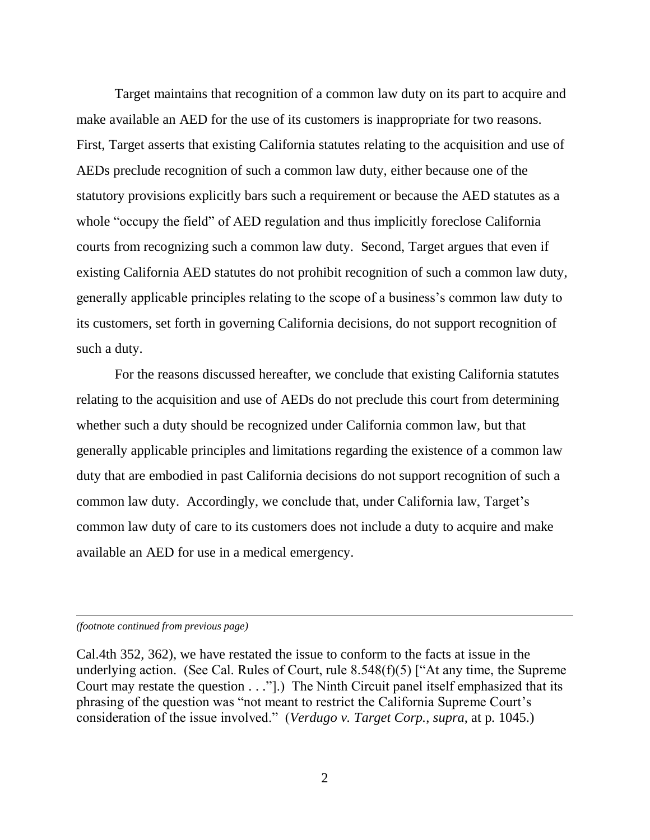Target maintains that recognition of a common law duty on its part to acquire and make available an AED for the use of its customers is inappropriate for two reasons. First, Target asserts that existing California statutes relating to the acquisition and use of AEDs preclude recognition of such a common law duty, either because one of the statutory provisions explicitly bars such a requirement or because the AED statutes as a whole "occupy the field" of AED regulation and thus implicitly foreclose California courts from recognizing such a common law duty. Second, Target argues that even if existing California AED statutes do not prohibit recognition of such a common law duty, generally applicable principles relating to the scope of a business"s common law duty to its customers, set forth in governing California decisions, do not support recognition of such a duty.

For the reasons discussed hereafter, we conclude that existing California statutes relating to the acquisition and use of AEDs do not preclude this court from determining whether such a duty should be recognized under California common law, but that generally applicable principles and limitations regarding the existence of a common law duty that are embodied in past California decisions do not support recognition of such a common law duty. Accordingly, we conclude that, under California law, Target's common law duty of care to its customers does not include a duty to acquire and make available an AED for use in a medical emergency.

#### *(footnote continued from previous page)*

l

Cal.4th 352, 362), we have restated the issue to conform to the facts at issue in the underlying action. (See Cal. Rules of Court, rule 8.548(f)(5) ["At any time, the Supreme Court may restate the question . . ."].) The Ninth Circuit panel itself emphasized that its phrasing of the question was "not meant to restrict the California Supreme Court"s consideration of the issue involved." (*Verdugo v. Target Corp.*, *supra*, at p. 1045.)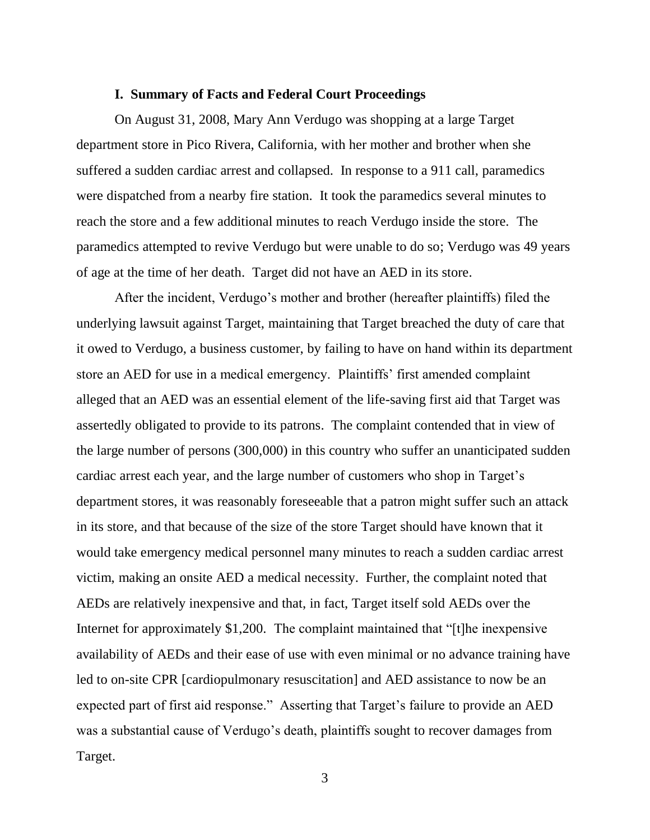#### **I. Summary of Facts and Federal Court Proceedings**

On August 31, 2008, Mary Ann Verdugo was shopping at a large Target department store in Pico Rivera, California, with her mother and brother when she suffered a sudden cardiac arrest and collapsed. In response to a 911 call, paramedics were dispatched from a nearby fire station. It took the paramedics several minutes to reach the store and a few additional minutes to reach Verdugo inside the store. The paramedics attempted to revive Verdugo but were unable to do so; Verdugo was 49 years of age at the time of her death. Target did not have an AED in its store.

After the incident, Verdugo"s mother and brother (hereafter plaintiffs) filed the underlying lawsuit against Target, maintaining that Target breached the duty of care that it owed to Verdugo, a business customer, by failing to have on hand within its department store an AED for use in a medical emergency. Plaintiffs" first amended complaint alleged that an AED was an essential element of the life-saving first aid that Target was assertedly obligated to provide to its patrons. The complaint contended that in view of the large number of persons (300,000) in this country who suffer an unanticipated sudden cardiac arrest each year, and the large number of customers who shop in Target's department stores, it was reasonably foreseeable that a patron might suffer such an attack in its store, and that because of the size of the store Target should have known that it would take emergency medical personnel many minutes to reach a sudden cardiac arrest victim, making an onsite AED a medical necessity. Further, the complaint noted that AEDs are relatively inexpensive and that, in fact, Target itself sold AEDs over the Internet for approximately \$1,200. The complaint maintained that "[t]he inexpensive availability of AEDs and their ease of use with even minimal or no advance training have led to on-site CPR [cardiopulmonary resuscitation] and AED assistance to now be an expected part of first aid response." Asserting that Target's failure to provide an AED was a substantial cause of Verdugo's death, plaintiffs sought to recover damages from Target.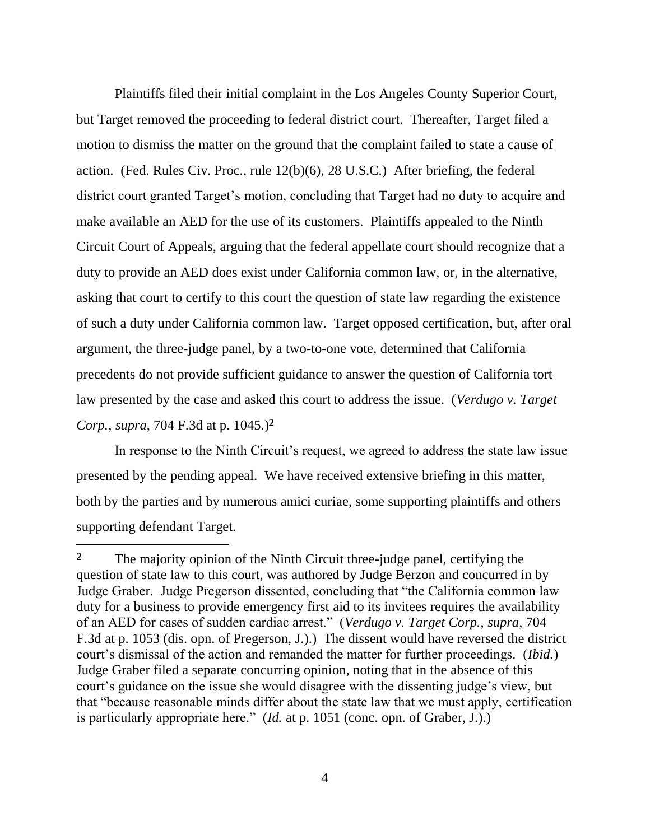Plaintiffs filed their initial complaint in the Los Angeles County Superior Court, but Target removed the proceeding to federal district court. Thereafter, Target filed a motion to dismiss the matter on the ground that the complaint failed to state a cause of action. (Fed. Rules Civ. Proc., rule 12(b)(6), 28 U.S.C.) After briefing, the federal district court granted Target's motion, concluding that Target had no duty to acquire and make available an AED for the use of its customers. Plaintiffs appealed to the Ninth Circuit Court of Appeals, arguing that the federal appellate court should recognize that a duty to provide an AED does exist under California common law, or, in the alternative, asking that court to certify to this court the question of state law regarding the existence of such a duty under California common law. Target opposed certification, but, after oral argument, the three-judge panel, by a two-to-one vote, determined that California precedents do not provide sufficient guidance to answer the question of California tort law presented by the case and asked this court to address the issue. (*Verdugo v. Target Corp.*, *supra*, 704 F.3d at p. 1045.)**2**

In response to the Ninth Circuit's request, we agreed to address the state law issue presented by the pending appeal. We have received extensive briefing in this matter, both by the parties and by numerous amici curiae, some supporting plaintiffs and others supporting defendant Target.

<sup>&</sup>lt;sup>2</sup> The majority opinion of the Ninth Circuit three-judge panel, certifying the question of state law to this court, was authored by Judge Berzon and concurred in by Judge Graber. Judge Pregerson dissented, concluding that "the California common law duty for a business to provide emergency first aid to its invitees requires the availability of an AED for cases of sudden cardiac arrest." (*Verdugo v. Target Corp.*, *supra*, 704 F.3d at p. 1053 (dis. opn. of Pregerson, J.).) The dissent would have reversed the district court's dismissal of the action and remanded the matter for further proceedings. *(Ibid.)* Judge Graber filed a separate concurring opinion, noting that in the absence of this court's guidance on the issue she would disagree with the dissenting judge's view, but that "because reasonable minds differ about the state law that we must apply, certification is particularly appropriate here." (*Id.* at p. 1051 (conc. opn. of Graber, J.).)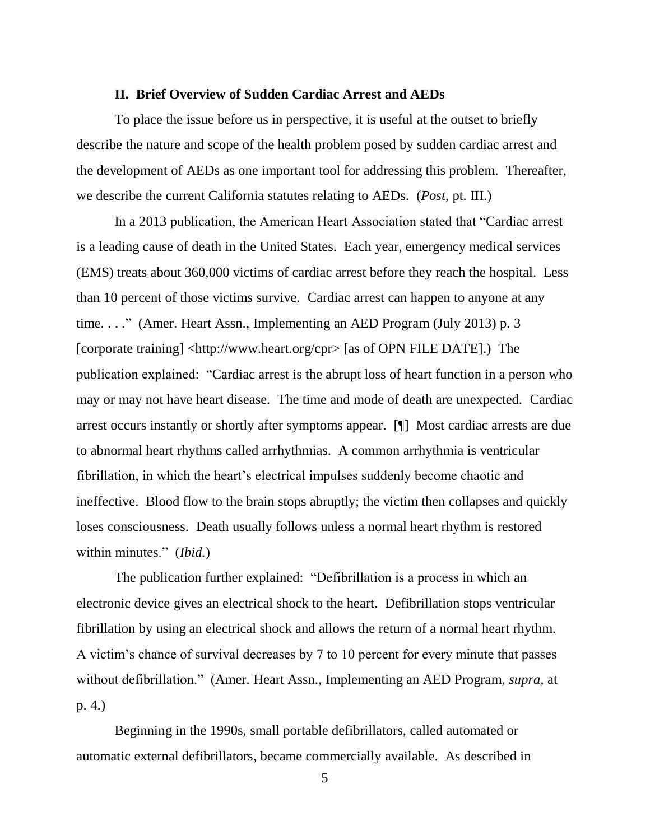#### **II. Brief Overview of Sudden Cardiac Arrest and AEDs**

To place the issue before us in perspective, it is useful at the outset to briefly describe the nature and scope of the health problem posed by sudden cardiac arrest and the development of AEDs as one important tool for addressing this problem. Thereafter, we describe the current California statutes relating to AEDs. (*Post*, pt. III.)

In a 2013 publication, the American Heart Association stated that "Cardiac arrest is a leading cause of death in the United States. Each year, emergency medical services (EMS) treats about 360,000 victims of cardiac arrest before they reach the hospital. Less than 10 percent of those victims survive. Cardiac arrest can happen to anyone at any time. . . ." (Amer. Heart Assn., Implementing an AED Program (July 2013) p. 3 [corporate training] <http://www.heart.org/cpr> [as of OPN FILE DATE].) The publication explained: "Cardiac arrest is the abrupt loss of heart function in a person who may or may not have heart disease. The time and mode of death are unexpected. Cardiac arrest occurs instantly or shortly after symptoms appear. [¶] Most cardiac arrests are due to abnormal heart rhythms called arrhythmias. A common arrhythmia is ventricular fibrillation, in which the heart's electrical impulses suddenly become chaotic and ineffective. Blood flow to the brain stops abruptly; the victim then collapses and quickly loses consciousness. Death usually follows unless a normal heart rhythm is restored within minutes." (*Ibid.*)

The publication further explained: "Defibrillation is a process in which an electronic device gives an electrical shock to the heart. Defibrillation stops ventricular fibrillation by using an electrical shock and allows the return of a normal heart rhythm. A victim"s chance of survival decreases by 7 to 10 percent for every minute that passes without defibrillation." (Amer. Heart Assn., Implementing an AED Program*, supra,* at p. 4.)

Beginning in the 1990s, small portable defibrillators, called automated or automatic external defibrillators, became commercially available. As described in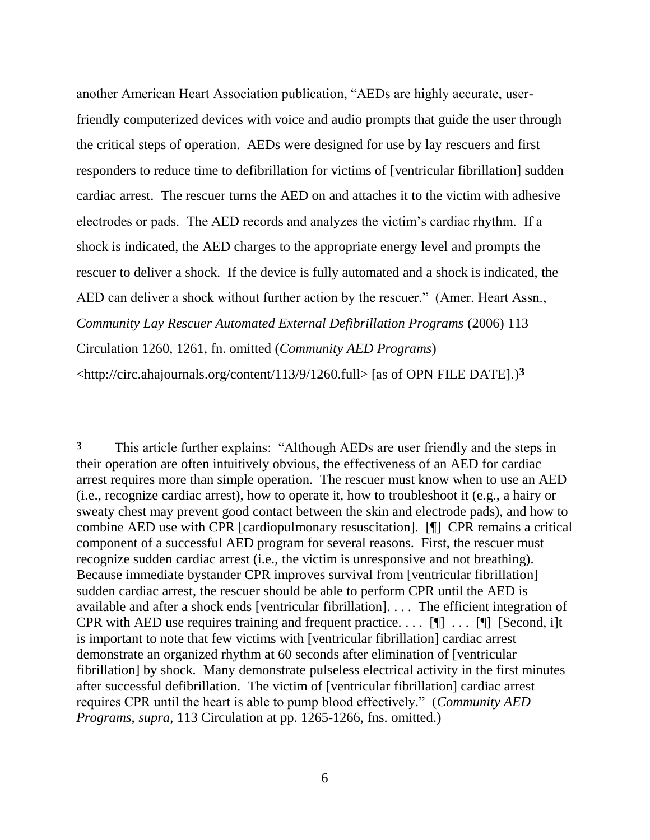another American Heart Association publication, "AEDs are highly accurate, userfriendly computerized devices with voice and audio prompts that guide the user through the critical steps of operation. AEDs were designed for use by lay rescuers and first responders to reduce time to defibrillation for victims of [ventricular fibrillation] sudden cardiac arrest. The rescuer turns the AED on and attaches it to the victim with adhesive electrodes or pads. The AED records and analyzes the victim"s cardiac rhythm. If a shock is indicated, the AED charges to the appropriate energy level and prompts the rescuer to deliver a shock. If the device is fully automated and a shock is indicated, the AED can deliver a shock without further action by the rescuer." (Amer. Heart Assn., *Community Lay Rescuer Automated External Defibrillation Programs* (2006) 113 Circulation 1260, 1261, fn. omitted (*Community AED Programs*) <http://circ.ahajournals.org/content/113/9/1260.full> [as of OPN FILE DATE].)**3**

**<sup>3</sup>** This article further explains: "Although AEDs are user friendly and the steps in their operation are often intuitively obvious, the effectiveness of an AED for cardiac arrest requires more than simple operation. The rescuer must know when to use an AED (i.e., recognize cardiac arrest), how to operate it, how to troubleshoot it (e.g., a hairy or sweaty chest may prevent good contact between the skin and electrode pads), and how to combine AED use with CPR [cardiopulmonary resuscitation]. [¶] CPR remains a critical component of a successful AED program for several reasons. First, the rescuer must recognize sudden cardiac arrest (i.e., the victim is unresponsive and not breathing). Because immediate bystander CPR improves survival from [ventricular fibrillation] sudden cardiac arrest, the rescuer should be able to perform CPR until the AED is available and after a shock ends [ventricular fibrillation]. . . . The efficient integration of CPR with AED use requires training and frequent practice. . . .  $[\n\mathbb{T}]$  ...  $[\n\mathbb{T}]$  [Second, i]t is important to note that few victims with [ventricular fibrillation] cardiac arrest demonstrate an organized rhythm at 60 seconds after elimination of [ventricular fibrillation] by shock. Many demonstrate pulseless electrical activity in the first minutes after successful defibrillation. The victim of [ventricular fibrillation] cardiac arrest requires CPR until the heart is able to pump blood effectively." (*Community AED Programs*, *supra*, 113 Circulation at pp. 1265-1266, fns. omitted.)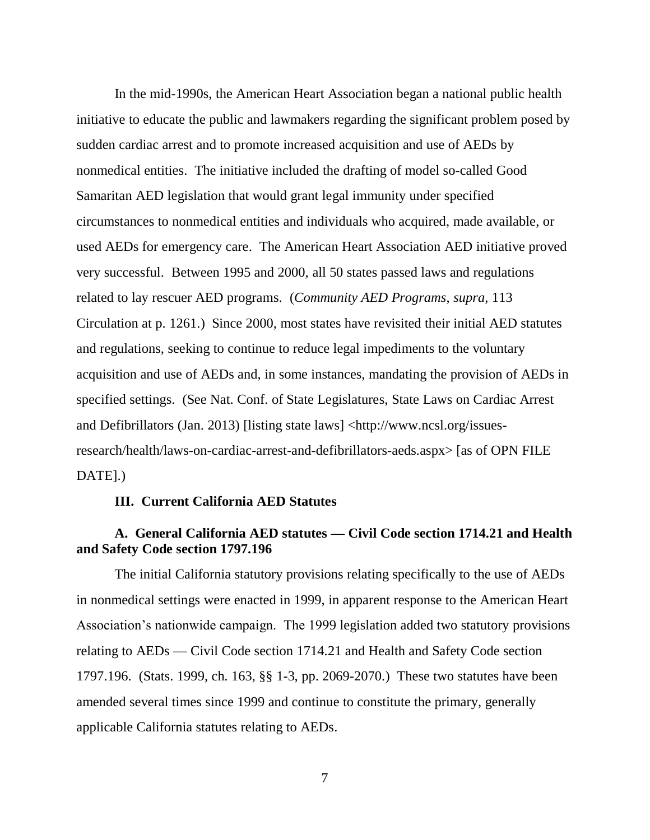In the mid-1990s, the American Heart Association began a national public health initiative to educate the public and lawmakers regarding the significant problem posed by sudden cardiac arrest and to promote increased acquisition and use of AEDs by nonmedical entities. The initiative included the drafting of model so-called Good Samaritan AED legislation that would grant legal immunity under specified circumstances to nonmedical entities and individuals who acquired, made available, or used AEDs for emergency care. The American Heart Association AED initiative proved very successful. Between 1995 and 2000, all 50 states passed laws and regulations related to lay rescuer AED programs. (*Community AED Programs*, *supra*, 113 Circulation at p. 1261.) Since 2000, most states have revisited their initial AED statutes and regulations, seeking to continue to reduce legal impediments to the voluntary acquisition and use of AEDs and, in some instances, mandating the provision of AEDs in specified settings. (See Nat. Conf. of State Legislatures, State Laws on Cardiac Arrest and Defibrillators (Jan. 2013) [listing state laws] <http://www.ncsl.org/issuesresearch/health/laws-on-cardiac-arrest-and-defibrillators-aeds.aspx> [as of OPN FILE DATE].)

### **III. Current California AED Statutes**

# **A. General California AED statutes — Civil Code section 1714.21 and Health and Safety Code section 1797.196**

The initial California statutory provisions relating specifically to the use of AEDs in nonmedical settings were enacted in 1999, in apparent response to the American Heart Association"s nationwide campaign. The 1999 legislation added two statutory provisions relating to AEDs — Civil Code section 1714.21 and Health and Safety Code section 1797.196. (Stats. 1999, ch. 163, §§ 1-3, pp. 2069-2070.) These two statutes have been amended several times since 1999 and continue to constitute the primary, generally applicable California statutes relating to AEDs.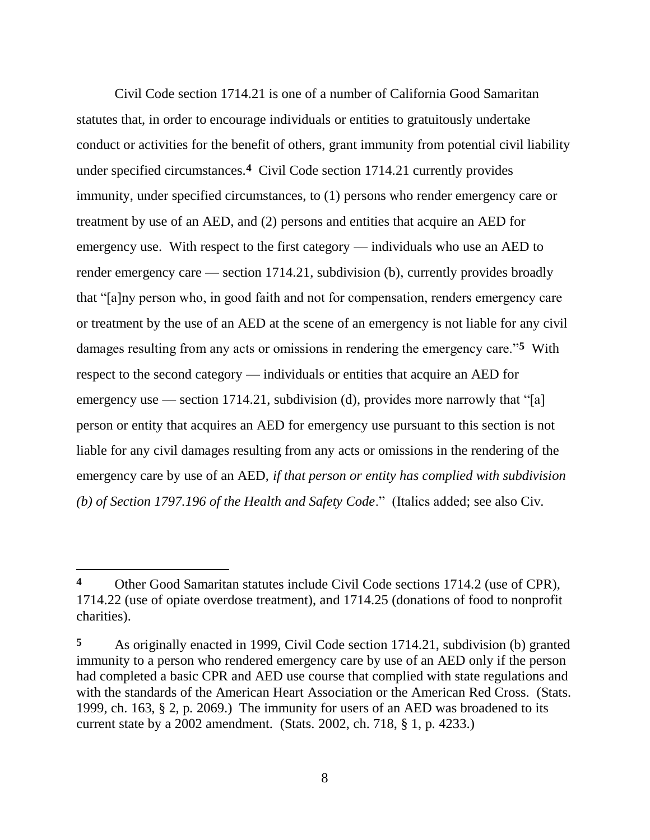Civil Code section 1714.21 is one of a number of California Good Samaritan statutes that, in order to encourage individuals or entities to gratuitously undertake conduct or activities for the benefit of others, grant immunity from potential civil liability under specified circumstances.**4** Civil Code section 1714.21 currently provides immunity, under specified circumstances, to (1) persons who render emergency care or treatment by use of an AED, and (2) persons and entities that acquire an AED for emergency use. With respect to the first category — individuals who use an AED to render emergency care — section 1714.21, subdivision (b), currently provides broadly that "[a]ny person who, in good faith and not for compensation, renders emergency care or treatment by the use of an AED at the scene of an emergency is not liable for any civil damages resulting from any acts or omissions in rendering the emergency care."**5** With respect to the second category — individuals or entities that acquire an AED for emergency use — section 1714.21, subdivision (d), provides more narrowly that "[a] person or entity that acquires an AED for emergency use pursuant to this section is not liable for any civil damages resulting from any acts or omissions in the rendering of the emergency care by use of an AED, *if that person or entity has complied with subdivision (b) of Section 1797.196 of the Health and Safety Code*." (Italics added; see also Civ.

**<sup>4</sup>** Other Good Samaritan statutes include Civil Code sections 1714.2 (use of CPR), 1714.22 (use of opiate overdose treatment), and 1714.25 (donations of food to nonprofit charities).

**<sup>5</sup>** As originally enacted in 1999, Civil Code section 1714.21, subdivision (b) granted immunity to a person who rendered emergency care by use of an AED only if the person had completed a basic CPR and AED use course that complied with state regulations and with the standards of the American Heart Association or the American Red Cross. (Stats. 1999, ch. 163, § 2, p. 2069.) The immunity for users of an AED was broadened to its current state by a 2002 amendment. (Stats. 2002, ch. 718, § 1, p. 4233.)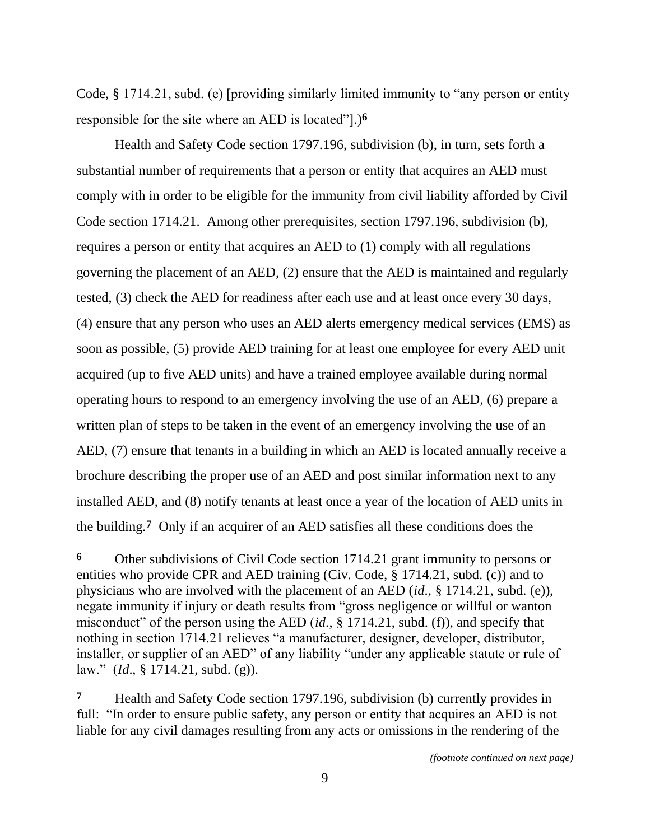Code, § 1714.21, subd. (e) [providing similarly limited immunity to "any person or entity responsible for the site where an AED is located"].)**6**

Health and Safety Code section 1797.196, subdivision (b), in turn, sets forth a substantial number of requirements that a person or entity that acquires an AED must comply with in order to be eligible for the immunity from civil liability afforded by Civil Code section 1714.21. Among other prerequisites, section 1797.196, subdivision (b), requires a person or entity that acquires an AED to (1) comply with all regulations governing the placement of an AED, (2) ensure that the AED is maintained and regularly tested, (3) check the AED for readiness after each use and at least once every 30 days, (4) ensure that any person who uses an AED alerts emergency medical services (EMS) as soon as possible, (5) provide AED training for at least one employee for every AED unit acquired (up to five AED units) and have a trained employee available during normal operating hours to respond to an emergency involving the use of an AED, (6) prepare a written plan of steps to be taken in the event of an emergency involving the use of an AED, (7) ensure that tenants in a building in which an AED is located annually receive a brochure describing the proper use of an AED and post similar information next to any installed AED, and (8) notify tenants at least once a year of the location of AED units in the building.**7** Only if an acquirer of an AED satisfies all these conditions does the

**<sup>6</sup>** Other subdivisions of Civil Code section 1714.21 grant immunity to persons or entities who provide CPR and AED training (Civ. Code, § 1714.21, subd. (c)) and to physicians who are involved with the placement of an AED (*id*., § 1714.21, subd. (e)), negate immunity if injury or death results from "gross negligence or willful or wanton misconduct" of the person using the AED (*id*., § 1714.21, subd. (f)), and specify that nothing in section 1714.21 relieves "a manufacturer, designer, developer, distributor, installer, or supplier of an AED" of any liability "under any applicable statute or rule of law." (*Id*., § 1714.21, subd. (g)).

**<sup>7</sup>** Health and Safety Code section 1797.196, subdivision (b) currently provides in full: "In order to ensure public safety, any person or entity that acquires an AED is not liable for any civil damages resulting from any acts or omissions in the rendering of the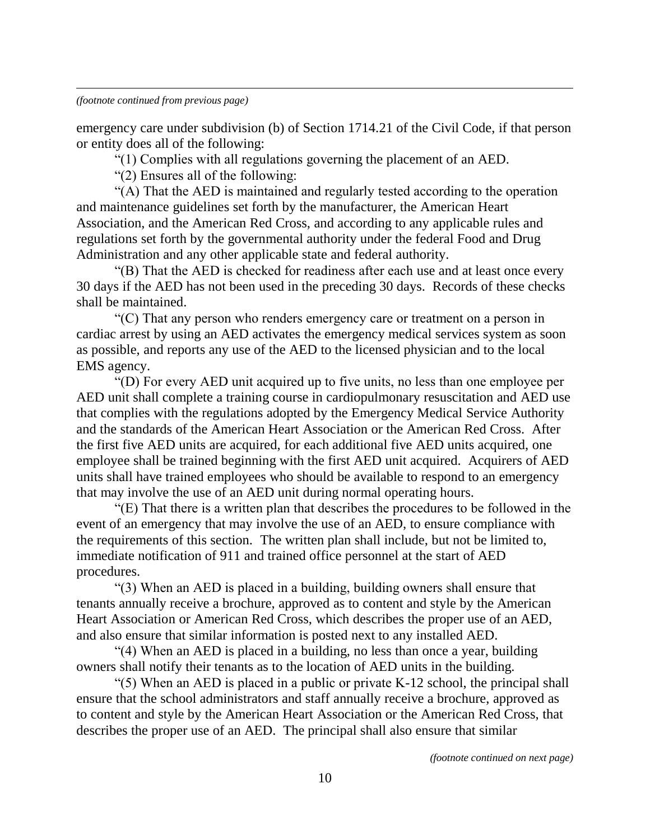*(footnote continued from previous page)*

l

emergency care under subdivision (b) of Section 1714.21 of the Civil Code, if that person or entity does all of the following:

"(1) Complies with all regulations governing the placement of an AED.

"(2) Ensures all of the following:

"(A) That the AED is maintained and regularly tested according to the operation and maintenance guidelines set forth by the manufacturer, the American Heart Association, and the American Red Cross, and according to any applicable rules and regulations set forth by the governmental authority under the federal Food and Drug Administration and any other applicable state and federal authority.

"(B) That the AED is checked for readiness after each use and at least once every 30 days if the AED has not been used in the preceding 30 days. Records of these checks shall be maintained.

"(C) That any person who renders emergency care or treatment on a person in cardiac arrest by using an AED activates the emergency medical services system as soon as possible, and reports any use of the AED to the licensed physician and to the local EMS agency.

"(D) For every AED unit acquired up to five units, no less than one employee per AED unit shall complete a training course in cardiopulmonary resuscitation and AED use that complies with the regulations adopted by the Emergency Medical Service Authority and the standards of the American Heart Association or the American Red Cross. After the first five AED units are acquired, for each additional five AED units acquired, one employee shall be trained beginning with the first AED unit acquired. Acquirers of AED units shall have trained employees who should be available to respond to an emergency that may involve the use of an AED unit during normal operating hours.

"(E) That there is a written plan that describes the procedures to be followed in the event of an emergency that may involve the use of an AED, to ensure compliance with the requirements of this section. The written plan shall include, but not be limited to, immediate notification of 911 and trained office personnel at the start of AED procedures.

"(3) When an AED is placed in a building, building owners shall ensure that tenants annually receive a brochure, approved as to content and style by the American Heart Association or American Red Cross, which describes the proper use of an AED, and also ensure that similar information is posted next to any installed AED.

"(4) When an AED is placed in a building, no less than once a year, building owners shall notify their tenants as to the location of AED units in the building.

"(5) When an AED is placed in a public or private K-12 school, the principal shall ensure that the school administrators and staff annually receive a brochure, approved as to content and style by the American Heart Association or the American Red Cross, that describes the proper use of an AED. The principal shall also ensure that similar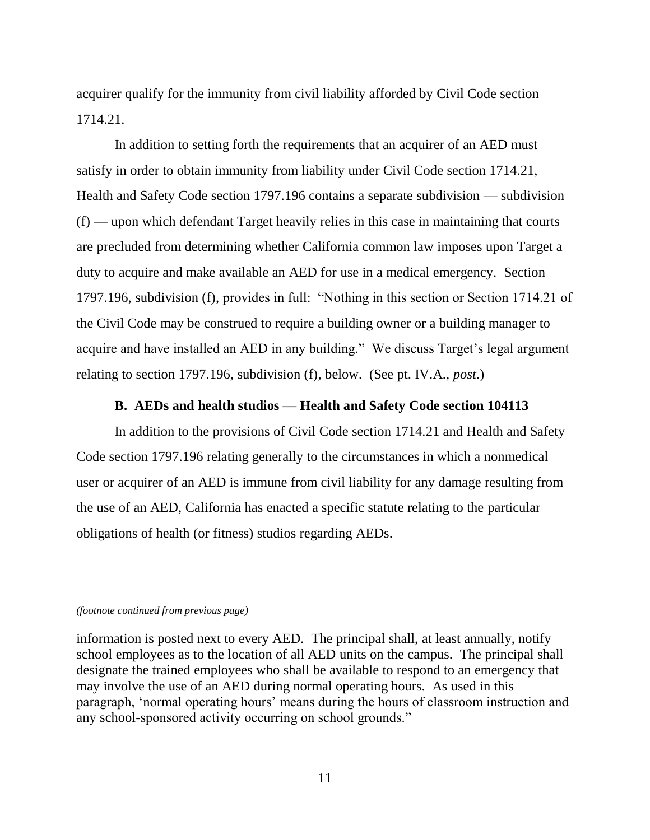acquirer qualify for the immunity from civil liability afforded by Civil Code section 1714.21.

In addition to setting forth the requirements that an acquirer of an AED must satisfy in order to obtain immunity from liability under Civil Code section 1714.21, Health and Safety Code section 1797.196 contains a separate subdivision — subdivision (f) — upon which defendant Target heavily relies in this case in maintaining that courts are precluded from determining whether California common law imposes upon Target a duty to acquire and make available an AED for use in a medical emergency. Section 1797.196, subdivision (f), provides in full: "Nothing in this section or Section 1714.21 of the Civil Code may be construed to require a building owner or a building manager to acquire and have installed an AED in any building." We discuss Target's legal argument relating to section 1797.196, subdivision (f), below. (See pt. IV.A., *post*.)

#### **B. AEDs and health studios — Health and Safety Code section 104113**

In addition to the provisions of Civil Code section 1714.21 and Health and Safety Code section 1797.196 relating generally to the circumstances in which a nonmedical user or acquirer of an AED is immune from civil liability for any damage resulting from the use of an AED, California has enacted a specific statute relating to the particular obligations of health (or fitness) studios regarding AEDs.

l

*<sup>(</sup>footnote continued from previous page)*

information is posted next to every AED. The principal shall, at least annually, notify school employees as to the location of all AED units on the campus. The principal shall designate the trained employees who shall be available to respond to an emergency that may involve the use of an AED during normal operating hours. As used in this paragraph, "normal operating hours" means during the hours of classroom instruction and any school-sponsored activity occurring on school grounds."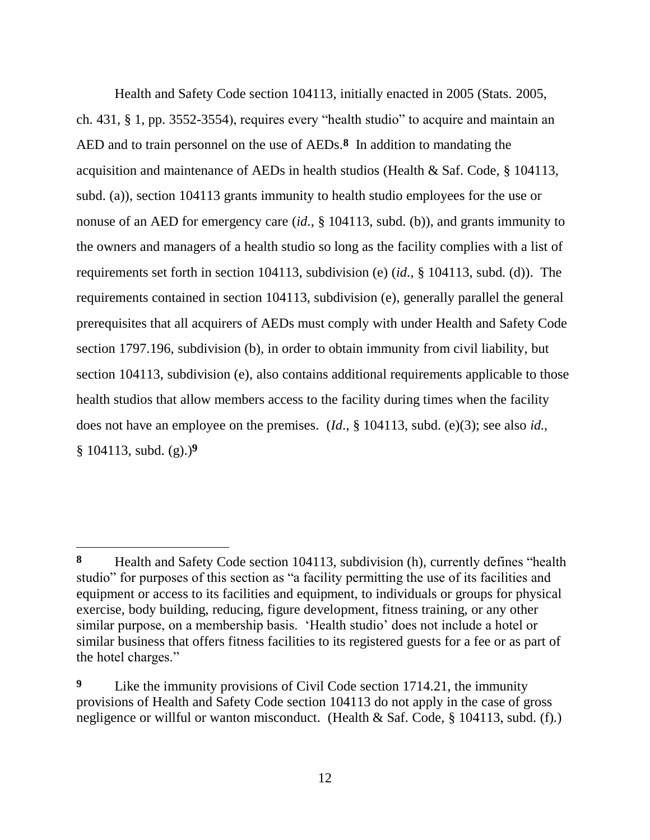Health and Safety Code section 104113, initially enacted in 2005 (Stats. 2005, ch. 431, § 1, pp. 3552-3554), requires every "health studio" to acquire and maintain an AED and to train personnel on the use of AEDs.**8** In addition to mandating the acquisition and maintenance of AEDs in health studios (Health & Saf. Code, § 104113, subd. (a)), section 104113 grants immunity to health studio employees for the use or nonuse of an AED for emergency care (*id*., § 104113, subd. (b)), and grants immunity to the owners and managers of a health studio so long as the facility complies with a list of requirements set forth in section 104113, subdivision (e) (*id*., § 104113, subd. (d)). The requirements contained in section 104113, subdivision (e), generally parallel the general prerequisites that all acquirers of AEDs must comply with under Health and Safety Code section 1797.196, subdivision (b), in order to obtain immunity from civil liability, but section 104113, subdivision (e), also contains additional requirements applicable to those health studios that allow members access to the facility during times when the facility does not have an employee on the premises. (*Id*., § 104113, subd. (e)(3); see also *id*., § 104113, subd. (g).)**9**

**<sup>8</sup>** Health and Safety Code section 104113, subdivision (h), currently defines "health studio" for purposes of this section as "a facility permitting the use of its facilities and equipment or access to its facilities and equipment, to individuals or groups for physical exercise, body building, reducing, figure development, fitness training, or any other similar purpose, on a membership basis. "Health studio" does not include a hotel or similar business that offers fitness facilities to its registered guests for a fee or as part of the hotel charges."

**<sup>9</sup>** Like the immunity provisions of Civil Code section 1714.21, the immunity provisions of Health and Safety Code section 104113 do not apply in the case of gross negligence or willful or wanton misconduct. (Health & Saf. Code, § 104113, subd. (f).)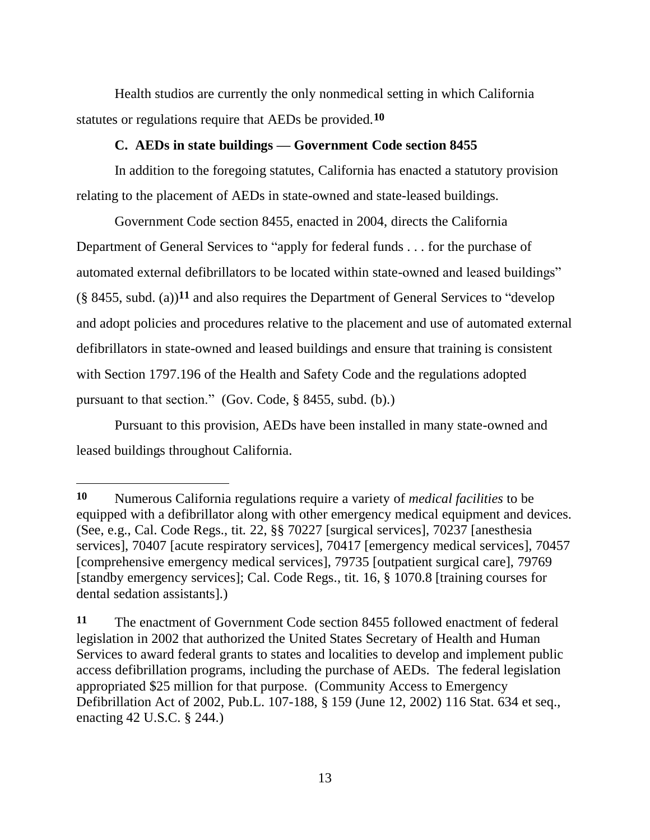Health studios are currently the only nonmedical setting in which California statutes or regulations require that AEDs be provided.**10**

### **C. AEDs in state buildings — Government Code section 8455**

In addition to the foregoing statutes, California has enacted a statutory provision relating to the placement of AEDs in state-owned and state-leased buildings.

Government Code section 8455, enacted in 2004, directs the California Department of General Services to "apply for federal funds . . . for the purchase of automated external defibrillators to be located within state-owned and leased buildings" (§ 8455, subd. (a))**11** and also requires the Department of General Services to "develop and adopt policies and procedures relative to the placement and use of automated external defibrillators in state-owned and leased buildings and ensure that training is consistent with Section 1797.196 of the Health and Safety Code and the regulations adopted pursuant to that section." (Gov. Code, § 8455, subd. (b).)

Pursuant to this provision, AEDs have been installed in many state-owned and leased buildings throughout California.

**<sup>10</sup>** Numerous California regulations require a variety of *medical facilities* to be equipped with a defibrillator along with other emergency medical equipment and devices. (See, e.g., Cal. Code Regs., tit. 22, §§ 70227 [surgical services], 70237 [anesthesia services], 70407 [acute respiratory services], 70417 [emergency medical services], 70457 [comprehensive emergency medical services], 79735 [outpatient surgical care], 79769 [standby emergency services]; Cal. Code Regs., tit. 16, § 1070.8 [training courses for dental sedation assistants].)

**<sup>11</sup>** The enactment of Government Code section 8455 followed enactment of federal legislation in 2002 that authorized the United States Secretary of Health and Human Services to award federal grants to states and localities to develop and implement public access defibrillation programs, including the purchase of AEDs. The federal legislation appropriated \$25 million for that purpose. (Community Access to Emergency Defibrillation Act of 2002, Pub.L. 107-188, § 159 (June 12, 2002) 116 Stat. 634 et seq., enacting 42 U.S.C. § 244.)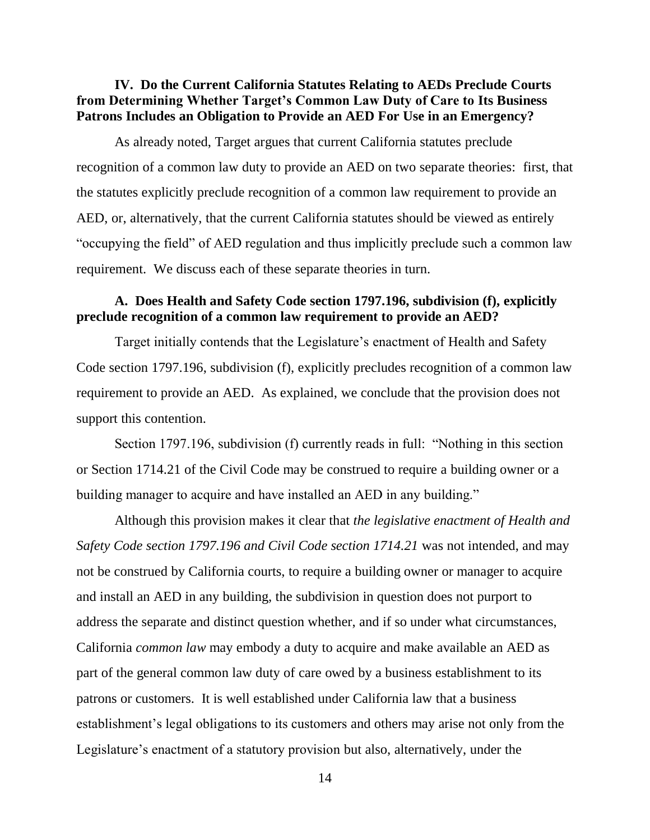# **IV. Do the Current California Statutes Relating to AEDs Preclude Courts from Determining Whether Target's Common Law Duty of Care to Its Business Patrons Includes an Obligation to Provide an AED For Use in an Emergency?**

As already noted, Target argues that current California statutes preclude recognition of a common law duty to provide an AED on two separate theories: first, that the statutes explicitly preclude recognition of a common law requirement to provide an AED, or, alternatively, that the current California statutes should be viewed as entirely "occupying the field" of AED regulation and thus implicitly preclude such a common law requirement. We discuss each of these separate theories in turn.

# **A. Does Health and Safety Code section 1797.196, subdivision (f), explicitly preclude recognition of a common law requirement to provide an AED?**

Target initially contends that the Legislature"s enactment of Health and Safety Code section 1797.196, subdivision (f), explicitly precludes recognition of a common law requirement to provide an AED. As explained, we conclude that the provision does not support this contention.

Section 1797.196, subdivision (f) currently reads in full: "Nothing in this section or Section 1714.21 of the Civil Code may be construed to require a building owner or a building manager to acquire and have installed an AED in any building."

Although this provision makes it clear that *the legislative enactment of Health and Safety Code section 1797.196 and Civil Code section 1714.21* was not intended, and may not be construed by California courts, to require a building owner or manager to acquire and install an AED in any building, the subdivision in question does not purport to address the separate and distinct question whether, and if so under what circumstances, California *common law* may embody a duty to acquire and make available an AED as part of the general common law duty of care owed by a business establishment to its patrons or customers. It is well established under California law that a business establishment's legal obligations to its customers and others may arise not only from the Legislature's enactment of a statutory provision but also, alternatively, under the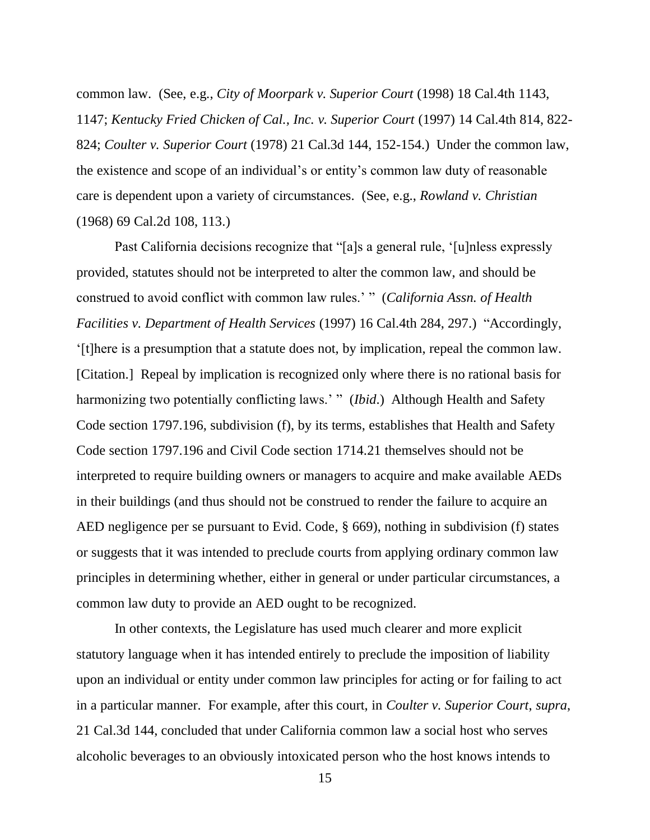common law. (See, e.g., *City of Moorpark v. Superior Court* (1998) 18 Cal.4th 1143, 1147; *Kentucky Fried Chicken of Cal., Inc. v. Superior Court* (1997) 14 Cal.4th 814, 822- 824; *Coulter v. Superior Court* (1978) 21 Cal.3d 144, 152-154.)Under the common law, the existence and scope of an individual"s or entity"s common law duty of reasonable care is dependent upon a variety of circumstances. (See, e.g., *Rowland v. Christian* (1968) 69 Cal.2d 108, 113.)

Past California decisions recognize that "[a]s a general rule, "[u]nless expressly provided, statutes should not be interpreted to alter the common law, and should be construed to avoid conflict with common law rules." " (*California Assn. of Health Facilities v. Department of Health Services* (1997) 16 Cal.4th 284, 297.) "Accordingly, "[t]here is a presumption that a statute does not, by implication, repeal the common law. [Citation.] Repeal by implication is recognized only where there is no rational basis for harmonizing two potentially conflicting laws." " (*Ibid*.) Although Health and Safety Code section 1797.196, subdivision (f), by its terms, establishes that Health and Safety Code section 1797.196 and Civil Code section 1714.21 themselves should not be interpreted to require building owners or managers to acquire and make available AEDs in their buildings (and thus should not be construed to render the failure to acquire an AED negligence per se pursuant to Evid. Code, § 669), nothing in subdivision (f) states or suggests that it was intended to preclude courts from applying ordinary common law principles in determining whether, either in general or under particular circumstances, a common law duty to provide an AED ought to be recognized.

In other contexts, the Legislature has used much clearer and more explicit statutory language when it has intended entirely to preclude the imposition of liability upon an individual or entity under common law principles for acting or for failing to act in a particular manner. For example, after this court, in *Coulter v. Superior Court*, *supra*, 21 Cal.3d 144, concluded that under California common law a social host who serves alcoholic beverages to an obviously intoxicated person who the host knows intends to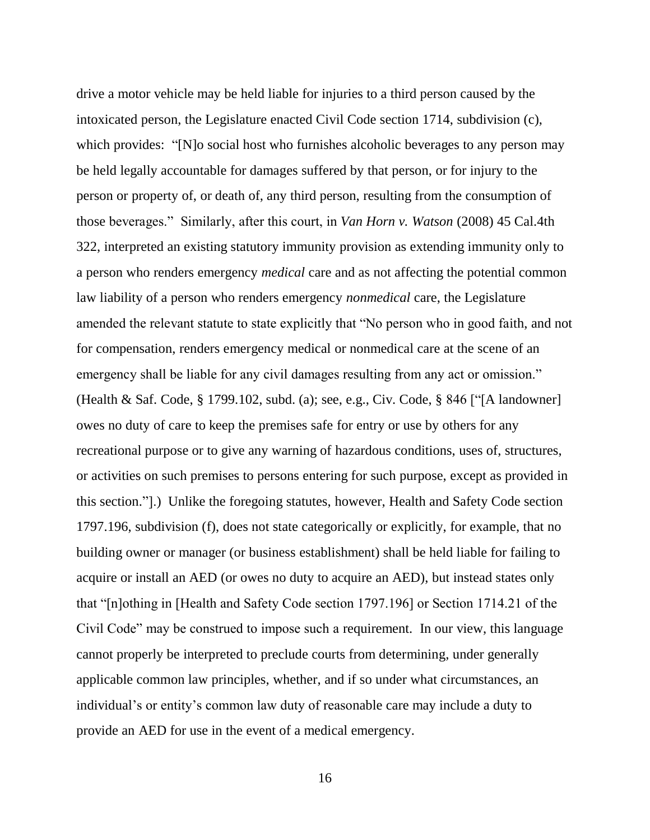drive a motor vehicle may be held liable for injuries to a third person caused by the intoxicated person, the Legislature enacted Civil Code section 1714, subdivision (c), which provides: "[N]o social host who furnishes alcoholic beverages to any person may be held legally accountable for damages suffered by that person, or for injury to the person or property of, or death of, any third person, resulting from the consumption of those beverages." Similarly, after this court, in *Van Horn v. Watson* (2008) 45 Cal.4th 322, interpreted an existing statutory immunity provision as extending immunity only to a person who renders emergency *medical* care and as not affecting the potential common law liability of a person who renders emergency *nonmedical* care, the Legislature amended the relevant statute to state explicitly that "No person who in good faith, and not for compensation, renders emergency medical or nonmedical care at the scene of an emergency shall be liable for any civil damages resulting from any act or omission." (Health & Saf. Code, § 1799.102, subd. (a); see, e.g., Civ. Code, § 846 ["[A landowner] owes no duty of care to keep the premises safe for entry or use by others for any recreational purpose or to give any warning of hazardous conditions, uses of, structures, or activities on such premises to persons entering for such purpose, except as provided in this section."].) Unlike the foregoing statutes, however, Health and Safety Code section 1797.196, subdivision (f), does not state categorically or explicitly, for example, that no building owner or manager (or business establishment) shall be held liable for failing to acquire or install an AED (or owes no duty to acquire an AED), but instead states only that "[n]othing in [Health and Safety Code section 1797.196] or Section 1714.21 of the Civil Code" may be construed to impose such a requirement. In our view, this language cannot properly be interpreted to preclude courts from determining, under generally applicable common law principles, whether, and if so under what circumstances, an individual's or entity's common law duty of reasonable care may include a duty to provide an AED for use in the event of a medical emergency.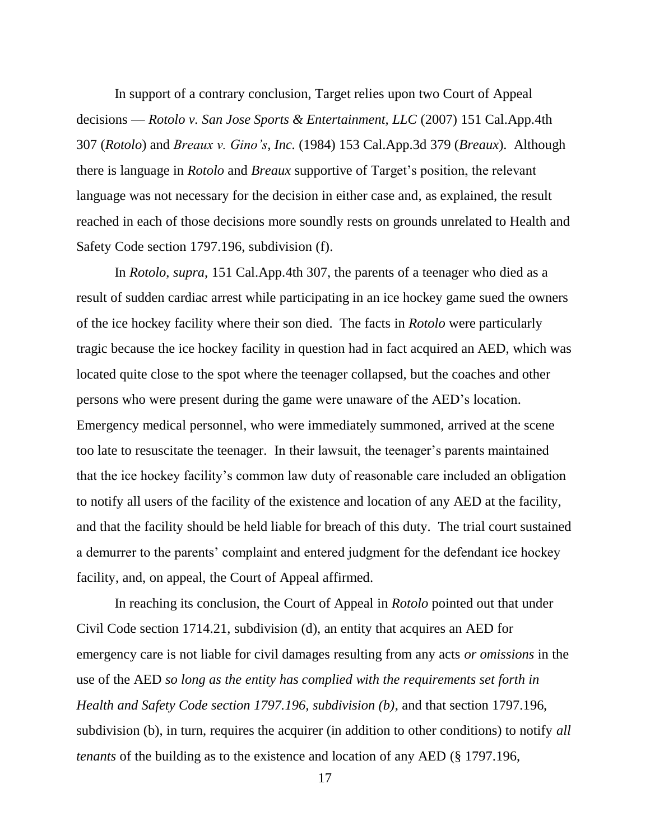In support of a contrary conclusion, Target relies upon two Court of Appeal decisions — *Rotolo v. San Jose Sports & Entertainment, LLC* (2007) 151 Cal.App.4th 307 (*Rotolo*) and *Breaux v. Gino's, Inc.* (1984) 153 Cal.App.3d 379 (*Breaux*). Although there is language in *Rotolo* and *Breaux* supportive of Target"s position, the relevant language was not necessary for the decision in either case and, as explained, the result reached in each of those decisions more soundly rests on grounds unrelated to Health and Safety Code section 1797.196, subdivision (f).

In *Rotolo*, *supra*, 151 Cal.App.4th 307, the parents of a teenager who died as a result of sudden cardiac arrest while participating in an ice hockey game sued the owners of the ice hockey facility where their son died. The facts in *Rotolo* were particularly tragic because the ice hockey facility in question had in fact acquired an AED, which was located quite close to the spot where the teenager collapsed, but the coaches and other persons who were present during the game were unaware of the AED"s location. Emergency medical personnel, who were immediately summoned, arrived at the scene too late to resuscitate the teenager. In their lawsuit, the teenager"s parents maintained that the ice hockey facility"s common law duty of reasonable care included an obligation to notify all users of the facility of the existence and location of any AED at the facility, and that the facility should be held liable for breach of this duty. The trial court sustained a demurrer to the parents' complaint and entered judgment for the defendant ice hockey facility, and, on appeal, the Court of Appeal affirmed.

In reaching its conclusion, the Court of Appeal in *Rotolo* pointed out that under Civil Code section 1714.21, subdivision (d), an entity that acquires an AED for emergency care is not liable for civil damages resulting from any acts *or omissions* in the use of the AED *so long as the entity has complied with the requirements set forth in Health and Safety Code section 1797.196, subdivision (b)*, and that section 1797.196, subdivision (b), in turn, requires the acquirer (in addition to other conditions) to notify *all tenants* of the building as to the existence and location of any AED (§ 1797.196,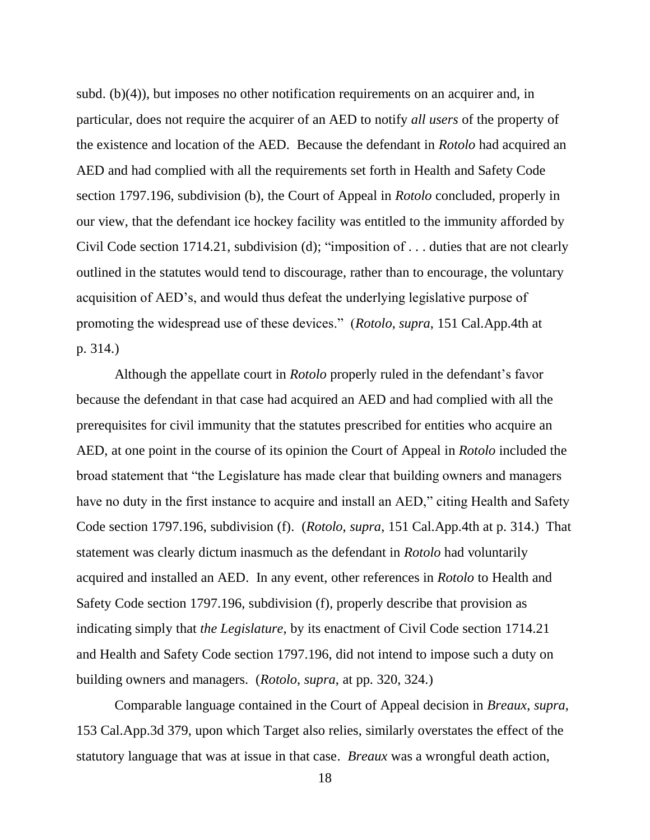subd.  $(b)(4)$ , but imposes no other notification requirements on an acquirer and, in particular, does not require the acquirer of an AED to notify *all users* of the property of the existence and location of the AED. Because the defendant in *Rotolo* had acquired an AED and had complied with all the requirements set forth in Health and Safety Code section 1797.196, subdivision (b), the Court of Appeal in *Rotolo* concluded, properly in our view, that the defendant ice hockey facility was entitled to the immunity afforded by Civil Code section 1714.21, subdivision (d); "imposition of . . . duties that are not clearly outlined in the statutes would tend to discourage, rather than to encourage, the voluntary acquisition of AED"s, and would thus defeat the underlying legislative purpose of promoting the widespread use of these devices." (*Rotolo*, *supra*, 151 Cal.App.4th at p. 314.)

Although the appellate court in *Rotolo* properly ruled in the defendant"s favor because the defendant in that case had acquired an AED and had complied with all the prerequisites for civil immunity that the statutes prescribed for entities who acquire an AED, at one point in the course of its opinion the Court of Appeal in *Rotolo* included the broad statement that "the Legislature has made clear that building owners and managers have no duty in the first instance to acquire and install an AED," citing Health and Safety Code section 1797.196, subdivision (f). (*Rotolo*, *supra*, 151 Cal.App.4th at p. 314.) That statement was clearly dictum inasmuch as the defendant in *Rotolo* had voluntarily acquired and installed an AED. In any event, other references in *Rotolo* to Health and Safety Code section 1797.196, subdivision (f), properly describe that provision as indicating simply that *the Legislature*, by its enactment of Civil Code section 1714.21 and Health and Safety Code section 1797.196, did not intend to impose such a duty on building owners and managers. (*Rotolo*, *supra*, at pp. 320, 324.)

Comparable language contained in the Court of Appeal decision in *Breaux*, *supra*, 153 Cal.App.3d 379, upon which Target also relies, similarly overstates the effect of the statutory language that was at issue in that case. *Breaux* was a wrongful death action,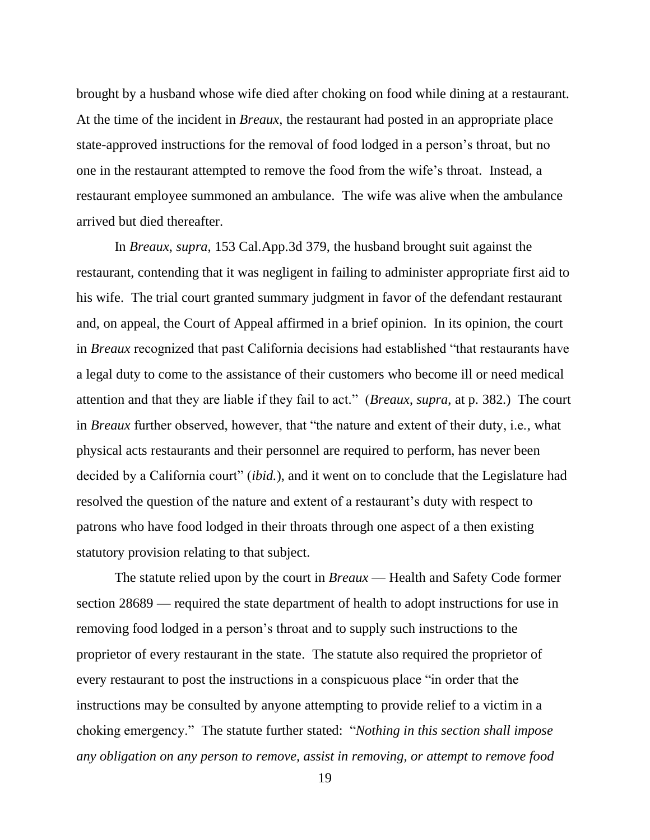brought by a husband whose wife died after choking on food while dining at a restaurant. At the time of the incident in *Breaux*, the restaurant had posted in an appropriate place state-approved instructions for the removal of food lodged in a person"s throat, but no one in the restaurant attempted to remove the food from the wife"s throat. Instead, a restaurant employee summoned an ambulance. The wife was alive when the ambulance arrived but died thereafter.

In *Breaux*, *supra*, 153 Cal.App.3d 379, the husband brought suit against the restaurant, contending that it was negligent in failing to administer appropriate first aid to his wife. The trial court granted summary judgment in favor of the defendant restaurant and, on appeal, the Court of Appeal affirmed in a brief opinion. In its opinion, the court in *Breaux* recognized that past California decisions had established "that restaurants have a legal duty to come to the assistance of their customers who become ill or need medical attention and that they are liable if they fail to act." (*Breaux*, *supra*, at p. 382.) The court in *Breaux* further observed, however, that "the nature and extent of their duty, i.e., what physical acts restaurants and their personnel are required to perform, has never been decided by a California court" *(ibid.)*, and it went on to conclude that the Legislature had resolved the question of the nature and extent of a restaurant's duty with respect to patrons who have food lodged in their throats through one aspect of a then existing statutory provision relating to that subject.

The statute relied upon by the court in *Breaux* — Health and Safety Code former section 28689 — required the state department of health to adopt instructions for use in removing food lodged in a person"s throat and to supply such instructions to the proprietor of every restaurant in the state. The statute also required the proprietor of every restaurant to post the instructions in a conspicuous place "in order that the instructions may be consulted by anyone attempting to provide relief to a victim in a choking emergency." The statute further stated: "*Nothing in this section shall impose any obligation on any person to remove, assist in removing, or attempt to remove food*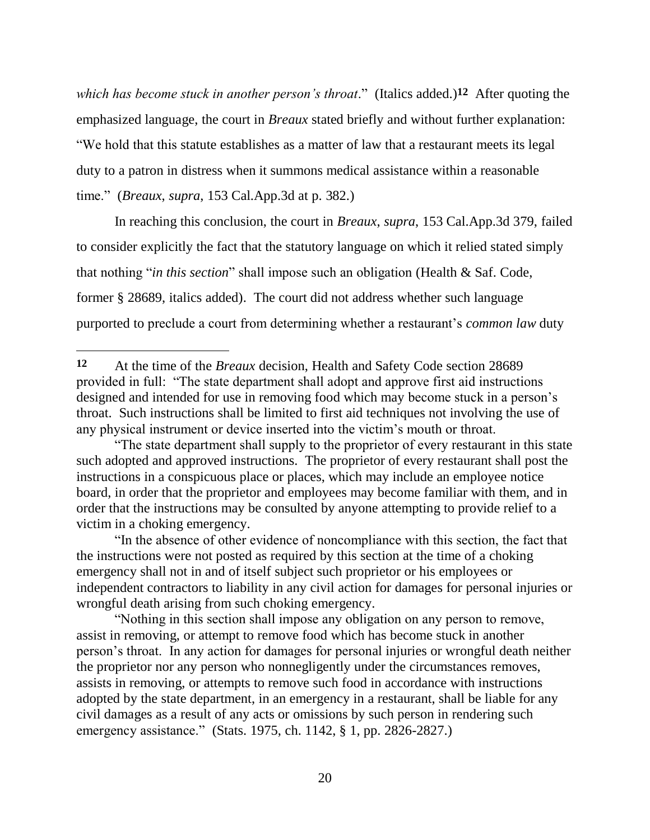*which has become stuck in another person's throat*." (Italics added.)**12** After quoting the emphasized language, the court in *Breaux* stated briefly and without further explanation: "We hold that this statute establishes as a matter of law that a restaurant meets its legal duty to a patron in distress when it summons medical assistance within a reasonable time." (*Breaux*, *supra*, 153 Cal.App.3d at p. 382.)

In reaching this conclusion, the court in *Breaux*, *supra*, 153 Cal.App.3d 379, failed to consider explicitly the fact that the statutory language on which it relied stated simply that nothing "*in this section*" shall impose such an obligation (Health & Saf. Code, former § 28689, italics added). The court did not address whether such language purported to preclude a court from determining whether a restaurant"s *common law* duty

 $\overline{a}$ 

"In the absence of other evidence of noncompliance with this section, the fact that the instructions were not posted as required by this section at the time of a choking emergency shall not in and of itself subject such proprietor or his employees or independent contractors to liability in any civil action for damages for personal injuries or wrongful death arising from such choking emergency.

"Nothing in this section shall impose any obligation on any person to remove, assist in removing, or attempt to remove food which has become stuck in another person"s throat. In any action for damages for personal injuries or wrongful death neither the proprietor nor any person who nonnegligently under the circumstances removes, assists in removing, or attempts to remove such food in accordance with instructions adopted by the state department, in an emergency in a restaurant, shall be liable for any civil damages as a result of any acts or omissions by such person in rendering such emergency assistance." (Stats. 1975, ch. 1142, § 1, pp. 2826-2827.)

**<sup>12</sup>** At the time of the *Breaux* decision, Health and Safety Code section 28689 provided in full: "The state department shall adopt and approve first aid instructions designed and intended for use in removing food which may become stuck in a person's throat. Such instructions shall be limited to first aid techniques not involving the use of any physical instrument or device inserted into the victim"s mouth or throat.

<sup>&</sup>quot;The state department shall supply to the proprietor of every restaurant in this state such adopted and approved instructions. The proprietor of every restaurant shall post the instructions in a conspicuous place or places, which may include an employee notice board, in order that the proprietor and employees may become familiar with them, and in order that the instructions may be consulted by anyone attempting to provide relief to a victim in a choking emergency.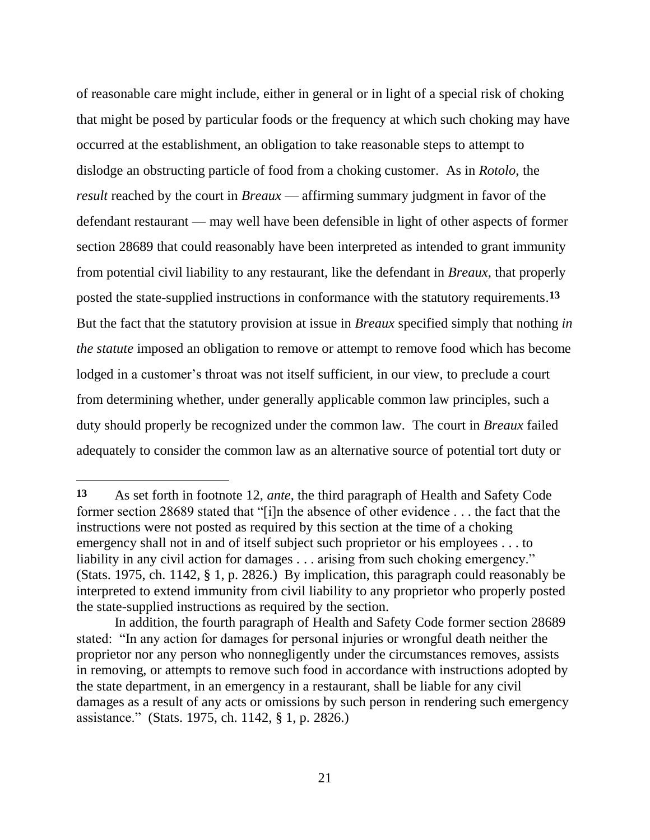of reasonable care might include, either in general or in light of a special risk of choking that might be posed by particular foods or the frequency at which such choking may have occurred at the establishment, an obligation to take reasonable steps to attempt to dislodge an obstructing particle of food from a choking customer. As in *Rotolo*, the *result* reached by the court in *Breaux* — affirming summary judgment in favor of the defendant restaurant — may well have been defensible in light of other aspects of former section 28689 that could reasonably have been interpreted as intended to grant immunity from potential civil liability to any restaurant, like the defendant in *Breaux*, that properly posted the state-supplied instructions in conformance with the statutory requirements. **13** But the fact that the statutory provision at issue in *Breaux* specified simply that nothing *in the statute* imposed an obligation to remove or attempt to remove food which has become lodged in a customer's throat was not itself sufficient, in our view, to preclude a court from determining whether, under generally applicable common law principles, such a duty should properly be recognized under the common law. The court in *Breaux* failed adequately to consider the common law as an alternative source of potential tort duty or

**<sup>13</sup>** As set forth in footnote 12, *ante*, the third paragraph of Health and Safety Code former section 28689 stated that "[i]n the absence of other evidence . . . the fact that the instructions were not posted as required by this section at the time of a choking emergency shall not in and of itself subject such proprietor or his employees . . . to liability in any civil action for damages . . . arising from such choking emergency." (Stats. 1975, ch. 1142, § 1, p. 2826.) By implication, this paragraph could reasonably be interpreted to extend immunity from civil liability to any proprietor who properly posted the state-supplied instructions as required by the section.

In addition, the fourth paragraph of Health and Safety Code former section 28689 stated: "In any action for damages for personal injuries or wrongful death neither the proprietor nor any person who nonnegligently under the circumstances removes, assists in removing, or attempts to remove such food in accordance with instructions adopted by the state department, in an emergency in a restaurant, shall be liable for any civil damages as a result of any acts or omissions by such person in rendering such emergency assistance." (Stats. 1975, ch. 1142, § 1, p. 2826.)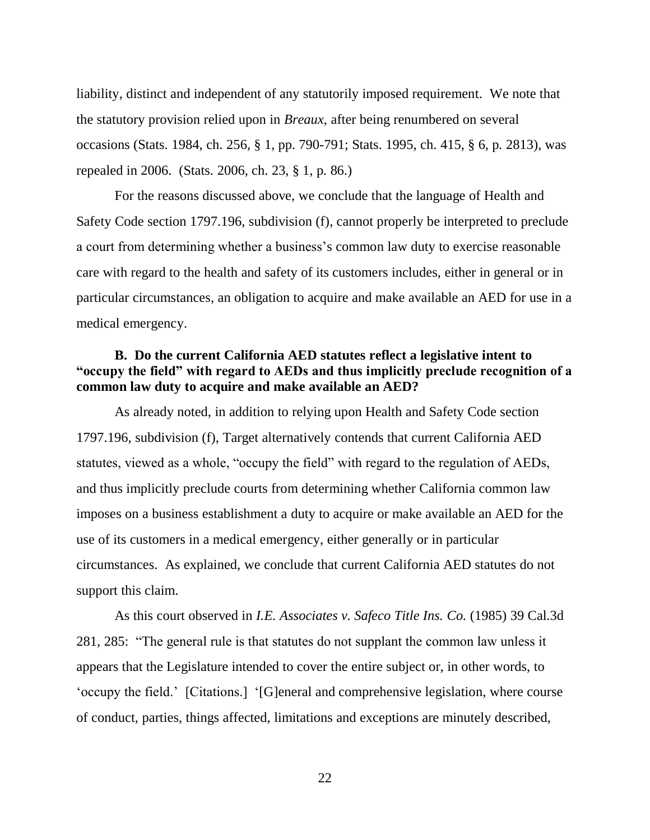liability, distinct and independent of any statutorily imposed requirement. We note that the statutory provision relied upon in *Breaux*, after being renumbered on several occasions (Stats. 1984, ch. 256, § 1, pp. 790-791; Stats. 1995, ch. 415, § 6, p. 2813), was repealed in 2006. (Stats. 2006, ch. 23, § 1, p. 86.)

For the reasons discussed above, we conclude that the language of Health and Safety Code section 1797.196, subdivision (f), cannot properly be interpreted to preclude a court from determining whether a business's common law duty to exercise reasonable care with regard to the health and safety of its customers includes, either in general or in particular circumstances, an obligation to acquire and make available an AED for use in a medical emergency.

# **B. Do the current California AED statutes reflect a legislative intent to "occupy the field" with regard to AEDs and thus implicitly preclude recognition of a common law duty to acquire and make available an AED?**

As already noted, in addition to relying upon Health and Safety Code section 1797.196, subdivision (f), Target alternatively contends that current California AED statutes, viewed as a whole, "occupy the field" with regard to the regulation of AEDs, and thus implicitly preclude courts from determining whether California common law imposes on a business establishment a duty to acquire or make available an AED for the use of its customers in a medical emergency, either generally or in particular circumstances. As explained, we conclude that current California AED statutes do not support this claim.

As this court observed in *I.E. Associates v. Safeco Title Ins. Co.* (1985) 39 Cal.3d 281, 285: "The general rule is that statutes do not supplant the common law unless it appears that the Legislature intended to cover the entire subject or, in other words, to "occupy the field." [Citations.] "[G]eneral and comprehensive legislation, where course of conduct, parties, things affected, limitations and exceptions are minutely described,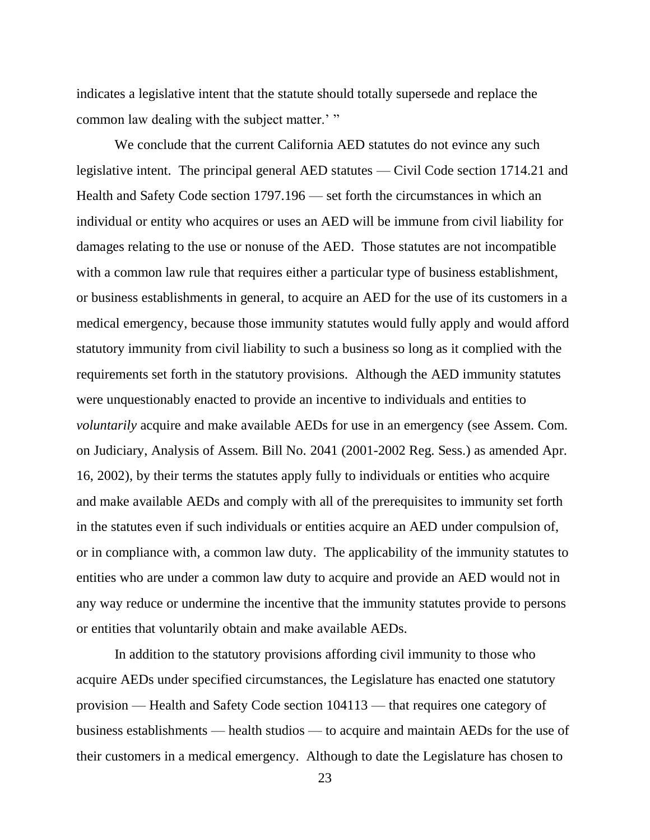indicates a legislative intent that the statute should totally supersede and replace the common law dealing with the subject matter."

We conclude that the current California AED statutes do not evince any such legislative intent. The principal general AED statutes — Civil Code section 1714.21 and Health and Safety Code section 1797.196 — set forth the circumstances in which an individual or entity who acquires or uses an AED will be immune from civil liability for damages relating to the use or nonuse of the AED. Those statutes are not incompatible with a common law rule that requires either a particular type of business establishment, or business establishments in general, to acquire an AED for the use of its customers in a medical emergency, because those immunity statutes would fully apply and would afford statutory immunity from civil liability to such a business so long as it complied with the requirements set forth in the statutory provisions. Although the AED immunity statutes were unquestionably enacted to provide an incentive to individuals and entities to *voluntarily* acquire and make available AEDs for use in an emergency (see Assem. Com. on Judiciary, Analysis of Assem. Bill No. 2041 (2001-2002 Reg. Sess.) as amended Apr. 16, 2002), by their terms the statutes apply fully to individuals or entities who acquire and make available AEDs and comply with all of the prerequisites to immunity set forth in the statutes even if such individuals or entities acquire an AED under compulsion of, or in compliance with, a common law duty. The applicability of the immunity statutes to entities who are under a common law duty to acquire and provide an AED would not in any way reduce or undermine the incentive that the immunity statutes provide to persons or entities that voluntarily obtain and make available AEDs.

In addition to the statutory provisions affording civil immunity to those who acquire AEDs under specified circumstances, the Legislature has enacted one statutory provision — Health and Safety Code section 104113 — that requires one category of business establishments — health studios — to acquire and maintain AEDs for the use of their customers in a medical emergency. Although to date the Legislature has chosen to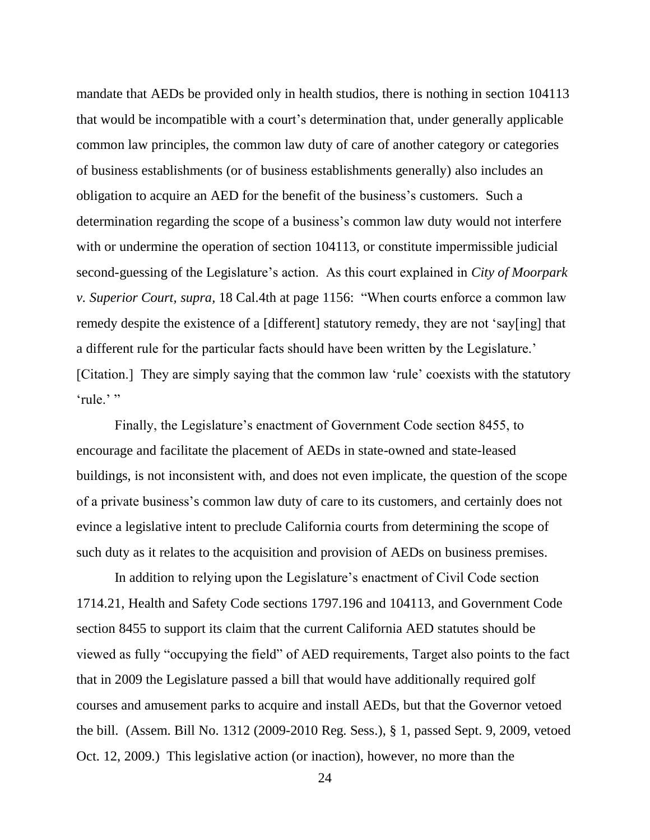mandate that AEDs be provided only in health studios, there is nothing in section 104113 that would be incompatible with a court"s determination that, under generally applicable common law principles, the common law duty of care of another category or categories of business establishments (or of business establishments generally) also includes an obligation to acquire an AED for the benefit of the business"s customers. Such a determination regarding the scope of a business's common law duty would not interfere with or undermine the operation of section 104113, or constitute impermissible judicial second-guessing of the Legislature"s action. As this court explained in *City of Moorpark v. Superior Court, supra,* 18 Cal.4th at page 1156: "When courts enforce a common law remedy despite the existence of a [different] statutory remedy, they are not "say[ing] that a different rule for the particular facts should have been written by the Legislature.' [Citation.] They are simply saying that the common law "rule" coexists with the statutory 'rule.""

Finally, the Legislature's enactment of Government Code section 8455, to encourage and facilitate the placement of AEDs in state-owned and state-leased buildings, is not inconsistent with, and does not even implicate, the question of the scope of a private business"s common law duty of care to its customers, and certainly does not evince a legislative intent to preclude California courts from determining the scope of such duty as it relates to the acquisition and provision of AEDs on business premises.

In addition to relying upon the Legislature's enactment of Civil Code section 1714.21, Health and Safety Code sections 1797.196 and 104113, and Government Code section 8455 to support its claim that the current California AED statutes should be viewed as fully "occupying the field" of AED requirements, Target also points to the fact that in 2009 the Legislature passed a bill that would have additionally required golf courses and amusement parks to acquire and install AEDs, but that the Governor vetoed the bill. (Assem. Bill No. 1312 (2009-2010 Reg. Sess.), § 1, passed Sept. 9, 2009, vetoed Oct. 12, 2009.) This legislative action (or inaction), however, no more than the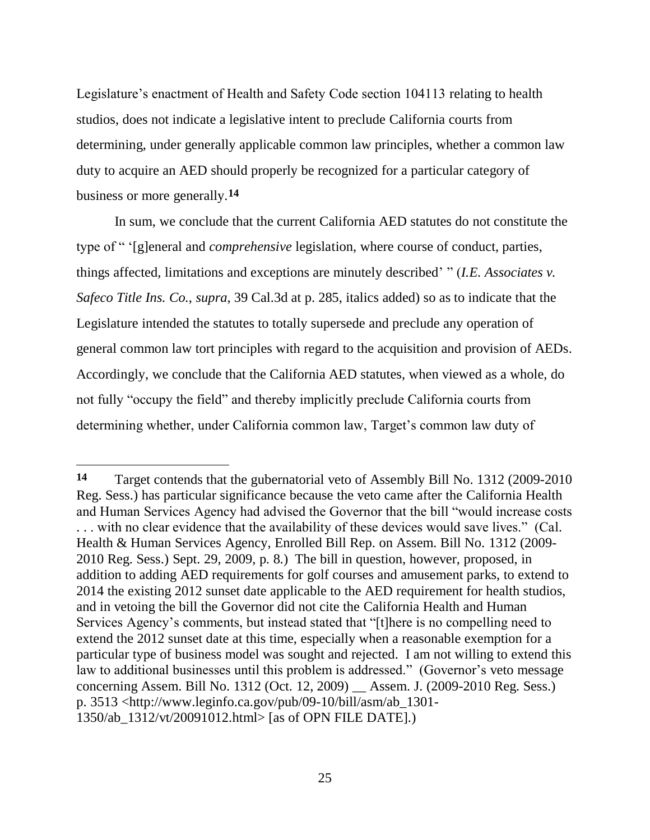Legislature's enactment of Health and Safety Code section 104113 relating to health studios, does not indicate a legislative intent to preclude California courts from determining, under generally applicable common law principles, whether a common law duty to acquire an AED should properly be recognized for a particular category of business or more generally.**14**

In sum, we conclude that the current California AED statutes do not constitute the type of " "[g]eneral and *comprehensive* legislation, where course of conduct, parties, things affected, limitations and exceptions are minutely described" " (*I.E. Associates v. Safeco Title Ins. Co.*, *supra*, 39 Cal.3d at p. 285, italics added) so as to indicate that the Legislature intended the statutes to totally supersede and preclude any operation of general common law tort principles with regard to the acquisition and provision of AEDs. Accordingly, we conclude that the California AED statutes, when viewed as a whole, do not fully "occupy the field" and thereby implicitly preclude California courts from determining whether, under California common law, Target's common law duty of

**<sup>14</sup>** Target contends that the gubernatorial veto of Assembly Bill No. 1312 (2009-2010 Reg. Sess.) has particular significance because the veto came after the California Health and Human Services Agency had advised the Governor that the bill "would increase costs . . . with no clear evidence that the availability of these devices would save lives." (Cal. Health & Human Services Agency, Enrolled Bill Rep. on Assem. Bill No. 1312 (2009- 2010 Reg. Sess.) Sept. 29, 2009, p. 8.) The bill in question, however, proposed, in addition to adding AED requirements for golf courses and amusement parks, to extend to 2014 the existing 2012 sunset date applicable to the AED requirement for health studios, and in vetoing the bill the Governor did not cite the California Health and Human Services Agency"s comments, but instead stated that "[t]here is no compelling need to extend the 2012 sunset date at this time, especially when a reasonable exemption for a particular type of business model was sought and rejected. I am not willing to extend this law to additional businesses until this problem is addressed." (Governor's veto message concerning Assem. Bill No. 1312 (Oct. 12, 2009) \_\_ Assem. J. (2009-2010 Reg. Sess.) p. 3513 <http://www.leginfo.ca.gov/pub/09-10/bill/asm/ab\_1301- 1350/ab\_1312/vt/20091012.html> [as of OPN FILE DATE].)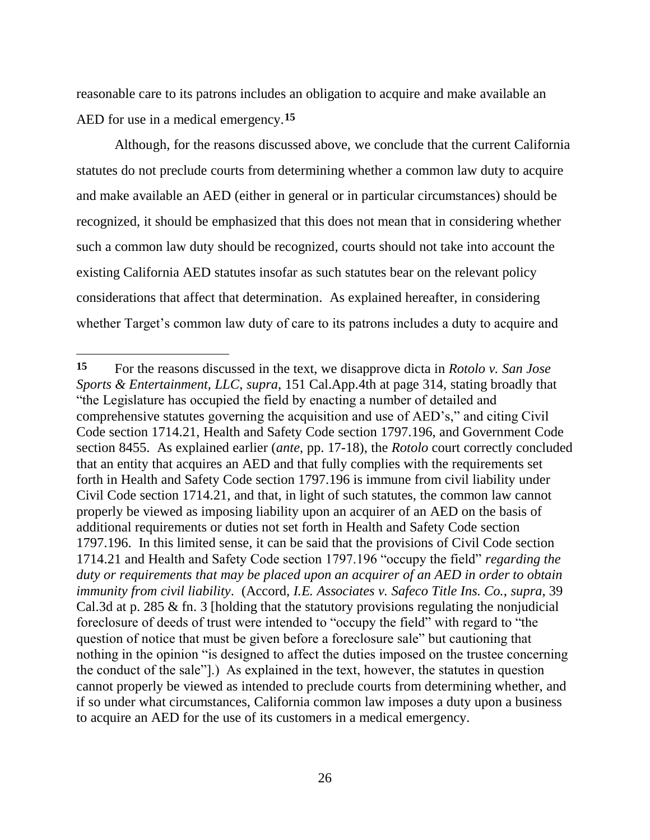reasonable care to its patrons includes an obligation to acquire and make available an AED for use in a medical emergency.**15**

Although, for the reasons discussed above, we conclude that the current California statutes do not preclude courts from determining whether a common law duty to acquire and make available an AED (either in general or in particular circumstances) should be recognized, it should be emphasized that this does not mean that in considering whether such a common law duty should be recognized, courts should not take into account the existing California AED statutes insofar as such statutes bear on the relevant policy considerations that affect that determination. As explained hereafter, in considering whether Target's common law duty of care to its patrons includes a duty to acquire and

**<sup>15</sup>** For the reasons discussed in the text, we disapprove dicta in *Rotolo v. San Jose Sports & Entertainment, LLC*, *supra*, 151 Cal.App.4th at page 314, stating broadly that "the Legislature has occupied the field by enacting a number of detailed and comprehensive statutes governing the acquisition and use of AED"s," and citing Civil Code section 1714.21, Health and Safety Code section 1797.196, and Government Code section 8455. As explained earlier (*ante*, pp. 17-18), the *Rotolo* court correctly concluded that an entity that acquires an AED and that fully complies with the requirements set forth in Health and Safety Code section 1797.196 is immune from civil liability under Civil Code section 1714.21, and that, in light of such statutes, the common law cannot properly be viewed as imposing liability upon an acquirer of an AED on the basis of additional requirements or duties not set forth in Health and Safety Code section 1797.196. In this limited sense, it can be said that the provisions of Civil Code section 1714.21 and Health and Safety Code section 1797.196 "occupy the field" *regarding the duty or requirements that may be placed upon an acquirer of an AED in order to obtain immunity from civil liability*. (Accord*, I.E. Associates v. Safeco Title Ins. Co.*, *supra*, 39 Cal.3d at p. 285 & fn. 3 [holding that the statutory provisions regulating the nonjudicial foreclosure of deeds of trust were intended to "occupy the field" with regard to "the question of notice that must be given before a foreclosure sale" but cautioning that nothing in the opinion "is designed to affect the duties imposed on the trustee concerning the conduct of the sale"].) As explained in the text, however, the statutes in question cannot properly be viewed as intended to preclude courts from determining whether, and if so under what circumstances, California common law imposes a duty upon a business to acquire an AED for the use of its customers in a medical emergency.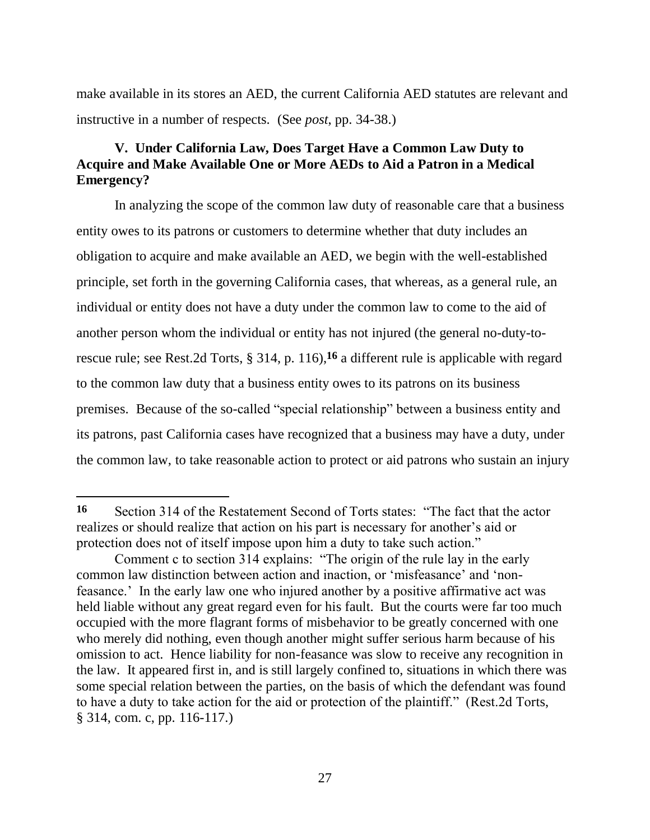make available in its stores an AED, the current California AED statutes are relevant and instructive in a number of respects. (See *post*, pp. 34-38.)

# **V. Under California Law, Does Target Have a Common Law Duty to Acquire and Make Available One or More AEDs to Aid a Patron in a Medical Emergency?**

In analyzing the scope of the common law duty of reasonable care that a business entity owes to its patrons or customers to determine whether that duty includes an obligation to acquire and make available an AED, we begin with the well-established principle, set forth in the governing California cases, that whereas, as a general rule, an individual or entity does not have a duty under the common law to come to the aid of another person whom the individual or entity has not injured (the general no-duty-torescue rule; see Rest.2d Torts, § 314, p. 116), **16** a different rule is applicable with regard to the common law duty that a business entity owes to its patrons on its business premises. Because of the so-called "special relationship" between a business entity and its patrons, past California cases have recognized that a business may have a duty, under the common law, to take reasonable action to protect or aid patrons who sustain an injury

**<sup>16</sup>** Section 314 of the Restatement Second of Torts states: "The fact that the actor realizes or should realize that action on his part is necessary for another"s aid or protection does not of itself impose upon him a duty to take such action."

Comment c to section 314 explains: "The origin of the rule lay in the early common law distinction between action and inaction, or "misfeasance" and "nonfeasance." In the early law one who injured another by a positive affirmative act was held liable without any great regard even for his fault. But the courts were far too much occupied with the more flagrant forms of misbehavior to be greatly concerned with one who merely did nothing, even though another might suffer serious harm because of his omission to act. Hence liability for non-feasance was slow to receive any recognition in the law. It appeared first in, and is still largely confined to, situations in which there was some special relation between the parties, on the basis of which the defendant was found to have a duty to take action for the aid or protection of the plaintiff." (Rest.2d Torts, § 314, com. c, pp. 116-117.)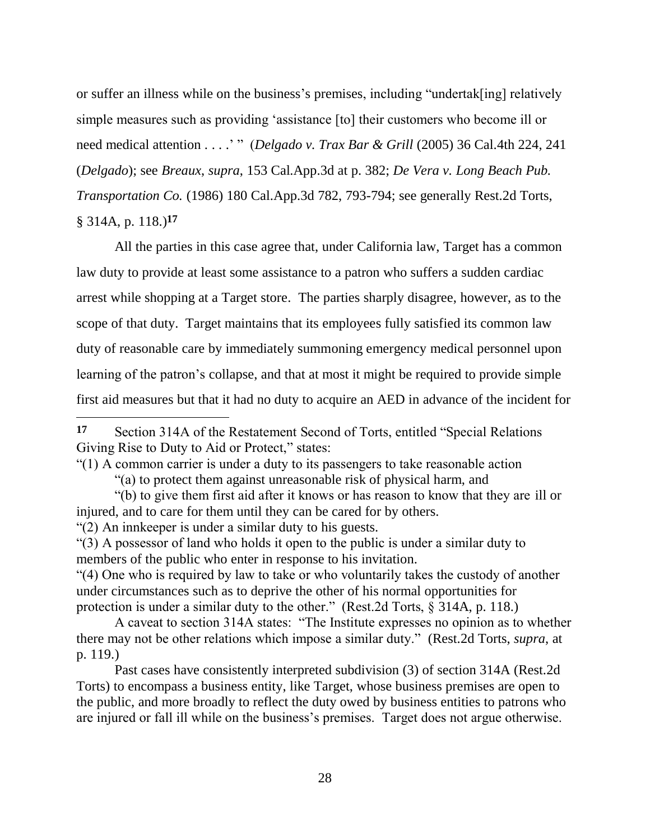or suffer an illness while on the business's premises, including "undertak[ing] relatively simple measures such as providing "assistance [to] their customers who become ill or need medical attention . . . ." " (*Delgado v. Trax Bar & Grill* (2005) 36 Cal.4th 224, 241 (*Delgado*); see *Breaux*, *supra*, 153 Cal.App.3d at p. 382; *De Vera v. Long Beach Pub. Transportation Co.* (1986) 180 Cal.App.3d 782, 793-794; see generally Rest.2d Torts, § 314A, p. 118.)**17**

All the parties in this case agree that, under California law, Target has a common law duty to provide at least some assistance to a patron who suffers a sudden cardiac arrest while shopping at a Target store. The parties sharply disagree, however, as to the scope of that duty. Target maintains that its employees fully satisfied its common law duty of reasonable care by immediately summoning emergency medical personnel upon learning of the patron's collapse, and that at most it might be required to provide simple first aid measures but that it had no duty to acquire an AED in advance of the incident for

- "(b) to give them first aid after it knows or has reason to know that they are ill or injured, and to care for them until they can be cared for by others.
- "(2) An innkeeper is under a similar duty to his guests.

**<sup>17</sup>** Section 314A of the Restatement Second of Torts, entitled "Special Relations Giving Rise to Duty to Aid or Protect," states:

<sup>&</sup>quot;(1) A common carrier is under a duty to its passengers to take reasonable action

<sup>&</sup>quot;(a) to protect them against unreasonable risk of physical harm, and

<sup>&</sup>quot;(3) A possessor of land who holds it open to the public is under a similar duty to members of the public who enter in response to his invitation.

<sup>&</sup>quot;(4) One who is required by law to take or who voluntarily takes the custody of another under circumstances such as to deprive the other of his normal opportunities for protection is under a similar duty to the other." (Rest.2d Torts, § 314A, p. 118.)

A caveat to section 314A states: "The Institute expresses no opinion as to whether there may not be other relations which impose a similar duty." (Rest.2d Torts, *supra*, at p. 119.)

Past cases have consistently interpreted subdivision (3) of section 314A (Rest.2d Torts) to encompass a business entity, like Target, whose business premises are open to the public, and more broadly to reflect the duty owed by business entities to patrons who are injured or fall ill while on the business"s premises. Target does not argue otherwise.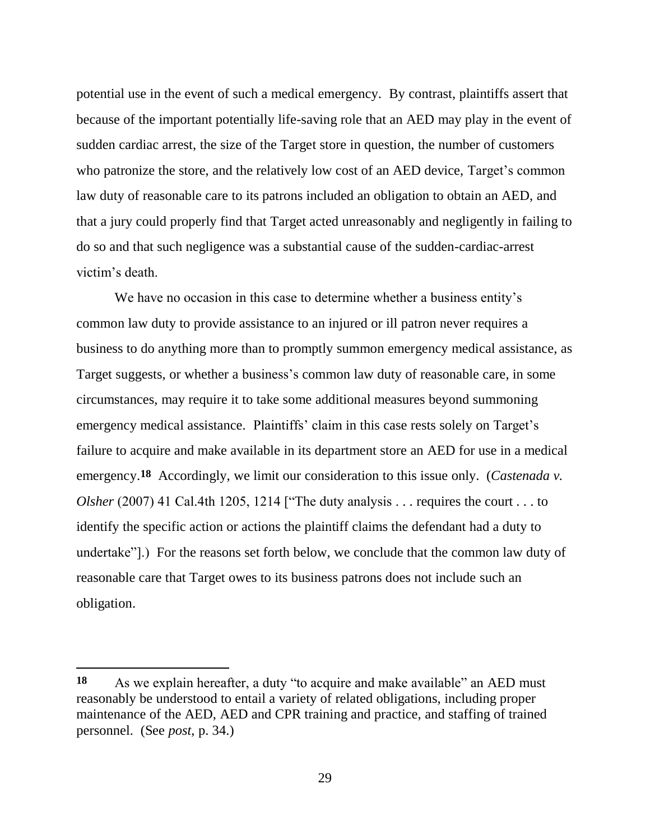potential use in the event of such a medical emergency. By contrast, plaintiffs assert that because of the important potentially life-saving role that an AED may play in the event of sudden cardiac arrest, the size of the Target store in question, the number of customers who patronize the store, and the relatively low cost of an AED device, Target's common law duty of reasonable care to its patrons included an obligation to obtain an AED, and that a jury could properly find that Target acted unreasonably and negligently in failing to do so and that such negligence was a substantial cause of the sudden-cardiac-arrest victim"s death.

We have no occasion in this case to determine whether a business entity's common law duty to provide assistance to an injured or ill patron never requires a business to do anything more than to promptly summon emergency medical assistance, as Target suggests, or whether a business's common law duty of reasonable care, in some circumstances, may require it to take some additional measures beyond summoning emergency medical assistance. Plaintiffs' claim in this case rests solely on Target's failure to acquire and make available in its department store an AED for use in a medical emergency.<sup>18</sup> Accordingly, we limit our consideration to this issue only. (*Castenada v*. *Olsher* (2007) 41 Cal.4th 1205, 1214 ["The duty analysis . . . requires the court . . . to identify the specific action or actions the plaintiff claims the defendant had a duty to undertake"].) For the reasons set forth below, we conclude that the common law duty of reasonable care that Target owes to its business patrons does not include such an obligation.

**<sup>18</sup>** As we explain hereafter, a duty "to acquire and make available" an AED must reasonably be understood to entail a variety of related obligations, including proper maintenance of the AED, AED and CPR training and practice, and staffing of trained personnel. (See *post*, p. 34.)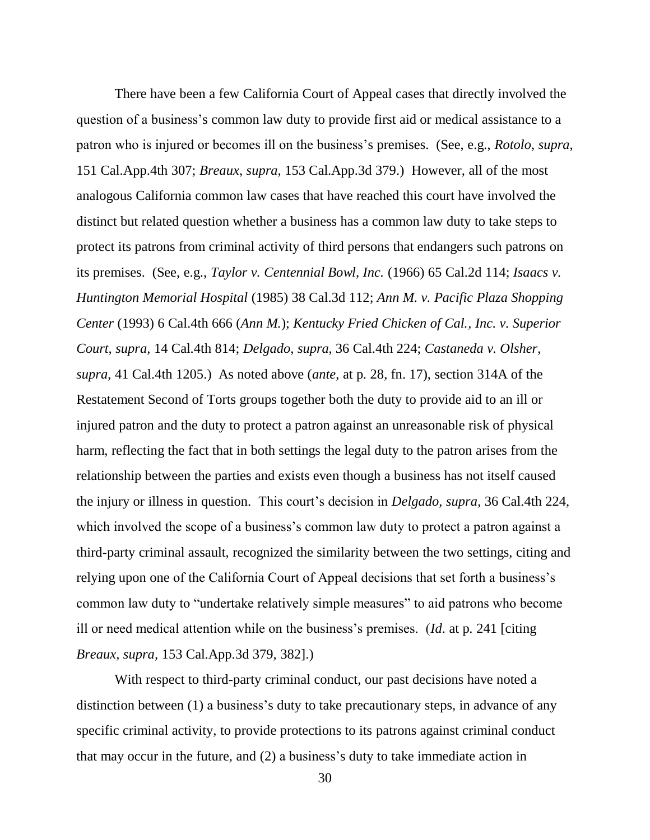There have been a few California Court of Appeal cases that directly involved the question of a business"s common law duty to provide first aid or medical assistance to a patron who is injured or becomes ill on the business"s premises. (See, e.g., *Rotolo*, *supra*, 151 Cal.App.4th 307; *Breaux*, *supra*, 153 Cal.App.3d 379.) However, all of the most analogous California common law cases that have reached this court have involved the distinct but related question whether a business has a common law duty to take steps to protect its patrons from criminal activity of third persons that endangers such patrons on its premises. (See, e.g., *Taylor v. Centennial Bowl, Inc.* (1966) 65 Cal.2d 114; *Isaacs v. Huntington Memorial Hospital* (1985) 38 Cal.3d 112; *Ann M. v. Pacific Plaza Shopping Center* (1993) 6 Cal.4th 666 (*Ann M.*); *Kentucky Fried Chicken of Cal., Inc. v. Superior Court, supra,* 14 Cal.4th 814; *Delgado*, *supra*, 36 Cal.4th 224; *Castaneda v. Olsher*, *supra*, 41 Cal.4th 1205.) As noted above (*ante*, at p. 28, fn. 17), section 314A of the Restatement Second of Torts groups together both the duty to provide aid to an ill or injured patron and the duty to protect a patron against an unreasonable risk of physical harm, reflecting the fact that in both settings the legal duty to the patron arises from the relationship between the parties and exists even though a business has not itself caused the injury or illness in question. This court's decision in *Delgado, supra,* 36 Cal.4th 224, which involved the scope of a business's common law duty to protect a patron against a third-party criminal assault, recognized the similarity between the two settings, citing and relying upon one of the California Court of Appeal decisions that set forth a business's common law duty to "undertake relatively simple measures" to aid patrons who become ill or need medical attention while on the business"s premises. (*Id*. at p. 241 [citing *Breaux, supra,* 153 Cal.App.3d 379, 382].)

With respect to third-party criminal conduct, our past decisions have noted a distinction between (1) a business's duty to take precautionary steps, in advance of any specific criminal activity, to provide protections to its patrons against criminal conduct that may occur in the future, and (2) a business"s duty to take immediate action in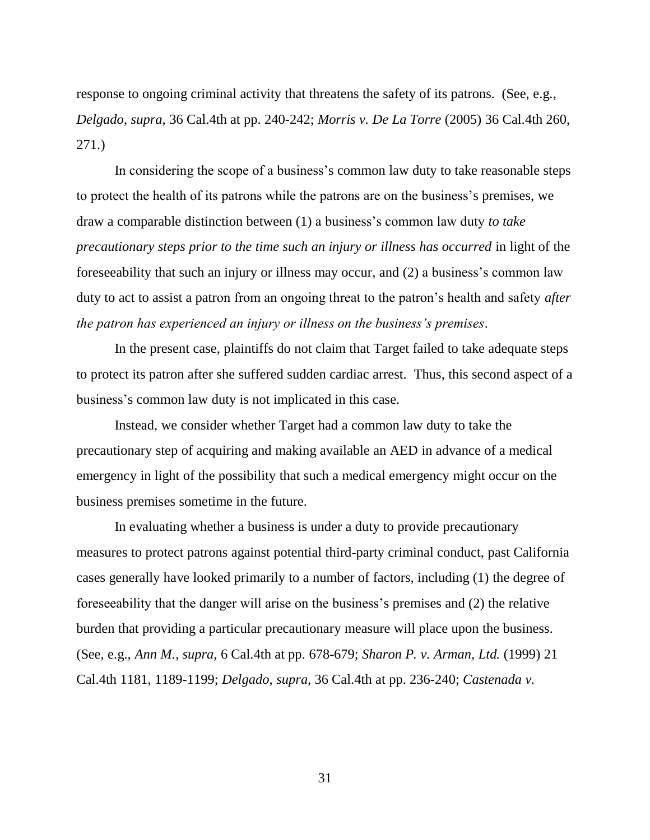response to ongoing criminal activity that threatens the safety of its patrons. (See, e.g., *Delgado*, *supra*, 36 Cal.4th at pp. 240-242; *Morris v. De La Torre* (2005) 36 Cal.4th 260, 271.)

In considering the scope of a business's common law duty to take reasonable steps to protect the health of its patrons while the patrons are on the business"s premises, we draw a comparable distinction between (1) a business"s common law duty *to take precautionary steps prior to the time such an injury or illness has occurred* in light of the foreseeability that such an injury or illness may occur, and (2) a business"s common law duty to act to assist a patron from an ongoing threat to the patron"s health and safety *after the patron has experienced an injury or illness on the business's premises*.

In the present case, plaintiffs do not claim that Target failed to take adequate steps to protect its patron after she suffered sudden cardiac arrest. Thus, this second aspect of a business"s common law duty is not implicated in this case.

Instead, we consider whether Target had a common law duty to take the precautionary step of acquiring and making available an AED in advance of a medical emergency in light of the possibility that such a medical emergency might occur on the business premises sometime in the future.

In evaluating whether a business is under a duty to provide precautionary measures to protect patrons against potential third-party criminal conduct, past California cases generally have looked primarily to a number of factors, including (1) the degree of foreseeability that the danger will arise on the business"s premises and (2) the relative burden that providing a particular precautionary measure will place upon the business. (See, e.g., *Ann M.*, *supra*, 6 Cal.4th at pp. 678-679; *Sharon P. v. Arman, Ltd.* (1999) 21 Cal.4th 1181, 1189-1199; *Delgado*, *supra*, 36 Cal.4th at pp. 236-240; *Castenada v.*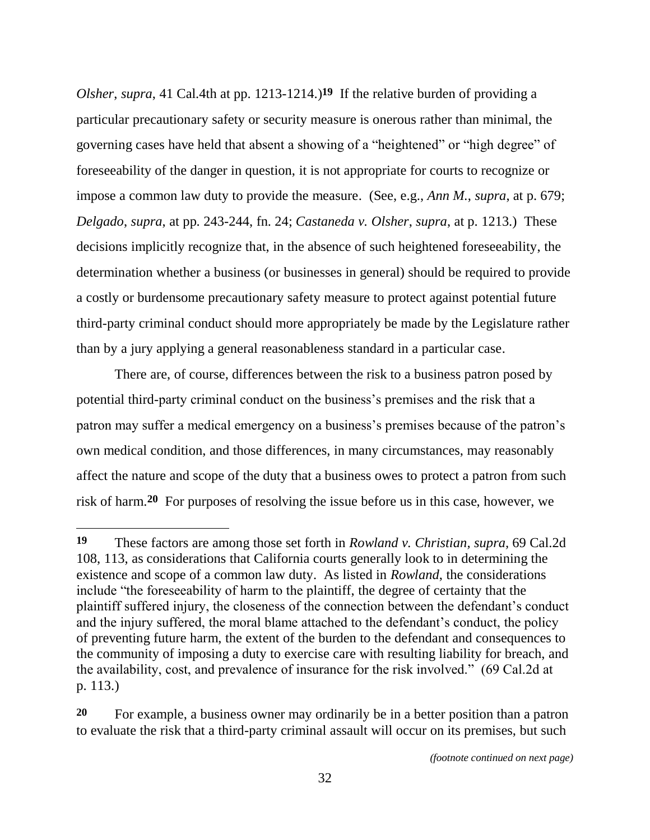*Olsher*, *supra*, 41 Cal.4th at pp. 1213-1214.) **19** If the relative burden of providing a particular precautionary safety or security measure is onerous rather than minimal, the governing cases have held that absent a showing of a "heightened" or "high degree" of foreseeability of the danger in question, it is not appropriate for courts to recognize or impose a common law duty to provide the measure. (See, e.g., *Ann M.*, *supra*, at p. 679; *Delgado*, *supra*, at pp. 243-244, fn. 24; *Castaneda v. Olsher*, *supra*, at p. 1213.) These decisions implicitly recognize that, in the absence of such heightened foreseeability, the determination whether a business (or businesses in general) should be required to provide a costly or burdensome precautionary safety measure to protect against potential future third-party criminal conduct should more appropriately be made by the Legislature rather than by a jury applying a general reasonableness standard in a particular case.

There are, of course, differences between the risk to a business patron posed by potential third-party criminal conduct on the business"s premises and the risk that a patron may suffer a medical emergency on a business's premises because of the patron's own medical condition, and those differences, in many circumstances, may reasonably affect the nature and scope of the duty that a business owes to protect a patron from such risk of harm.**20** For purposes of resolving the issue before us in this case, however, we

**<sup>19</sup>** These factors are among those set forth in *Rowland v. Christian, supra,* 69 Cal.2d 108, 113, as considerations that California courts generally look to in determining the existence and scope of a common law duty. As listed in *Rowland*, the considerations include "the foreseeability of harm to the plaintiff, the degree of certainty that the plaintiff suffered injury, the closeness of the connection between the defendant"s conduct and the injury suffered, the moral blame attached to the defendant"s conduct, the policy of preventing future harm, the extent of the burden to the defendant and consequences to the community of imposing a duty to exercise care with resulting liability for breach, and the availability, cost, and prevalence of insurance for the risk involved." (69 Cal.2d at p. 113.)

**<sup>20</sup>** For example, a business owner may ordinarily be in a better position than a patron to evaluate the risk that a third-party criminal assault will occur on its premises, but such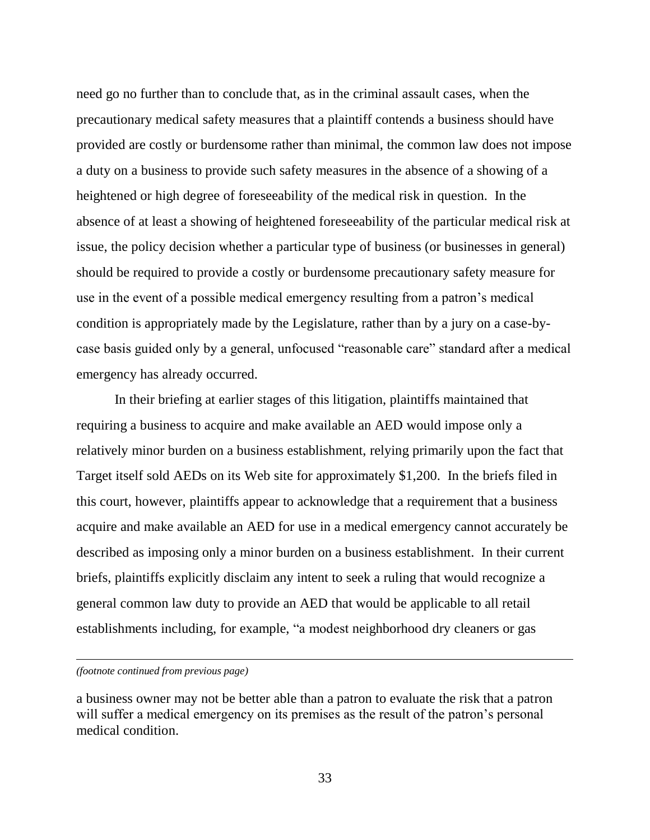need go no further than to conclude that, as in the criminal assault cases, when the precautionary medical safety measures that a plaintiff contends a business should have provided are costly or burdensome rather than minimal, the common law does not impose a duty on a business to provide such safety measures in the absence of a showing of a heightened or high degree of foreseeability of the medical risk in question. In the absence of at least a showing of heightened foreseeability of the particular medical risk at issue, the policy decision whether a particular type of business (or businesses in general) should be required to provide a costly or burdensome precautionary safety measure for use in the event of a possible medical emergency resulting from a patron"s medical condition is appropriately made by the Legislature, rather than by a jury on a case-bycase basis guided only by a general, unfocused "reasonable care" standard after a medical emergency has already occurred.

In their briefing at earlier stages of this litigation, plaintiffs maintained that requiring a business to acquire and make available an AED would impose only a relatively minor burden on a business establishment, relying primarily upon the fact that Target itself sold AEDs on its Web site for approximately \$1,200. In the briefs filed in this court, however, plaintiffs appear to acknowledge that a requirement that a business acquire and make available an AED for use in a medical emergency cannot accurately be described as imposing only a minor burden on a business establishment. In their current briefs, plaintiffs explicitly disclaim any intent to seek a ruling that would recognize a general common law duty to provide an AED that would be applicable to all retail establishments including, for example, "a modest neighborhood dry cleaners or gas

*(footnote continued from previous page)*

 $\overline{a}$ 

a business owner may not be better able than a patron to evaluate the risk that a patron will suffer a medical emergency on its premises as the result of the patron's personal medical condition.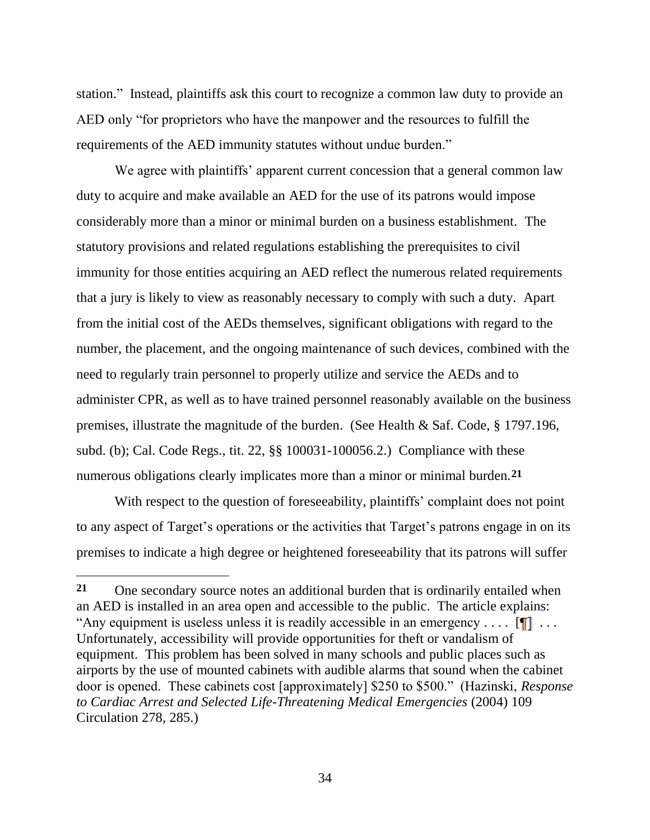station." Instead, plaintiffs ask this court to recognize a common law duty to provide an AED only "for proprietors who have the manpower and the resources to fulfill the requirements of the AED immunity statutes without undue burden."

We agree with plaintiffs' apparent current concession that a general common law duty to acquire and make available an AED for the use of its patrons would impose considerably more than a minor or minimal burden on a business establishment. The statutory provisions and related regulations establishing the prerequisites to civil immunity for those entities acquiring an AED reflect the numerous related requirements that a jury is likely to view as reasonably necessary to comply with such a duty. Apart from the initial cost of the AEDs themselves, significant obligations with regard to the number, the placement, and the ongoing maintenance of such devices, combined with the need to regularly train personnel to properly utilize and service the AEDs and to administer CPR, as well as to have trained personnel reasonably available on the business premises, illustrate the magnitude of the burden. (See Health & Saf. Code, § 1797.196, subd. (b); Cal. Code Regs., tit. 22, §§ 100031-100056.2.) Compliance with these numerous obligations clearly implicates more than a minor or minimal burden.**21**

With respect to the question of foreseeability, plaintiffs' complaint does not point to any aspect of Target's operations or the activities that Target's patrons engage in on its premises to indicate a high degree or heightened foreseeability that its patrons will suffer

**<sup>21</sup>** One secondary source notes an additional burden that is ordinarily entailed when an AED is installed in an area open and accessible to the public. The article explains: "Any equipment is useless unless it is readily accessible in an emergency ....  $[\P]$ ... Unfortunately, accessibility will provide opportunities for theft or vandalism of equipment. This problem has been solved in many schools and public places such as airports by the use of mounted cabinets with audible alarms that sound when the cabinet door is opened. These cabinets cost [approximately] \$250 to \$500." (Hazinski, *Response to Cardiac Arrest and Selected Life-Threatening Medical Emergencies* (2004) 109 Circulation 278, 285.)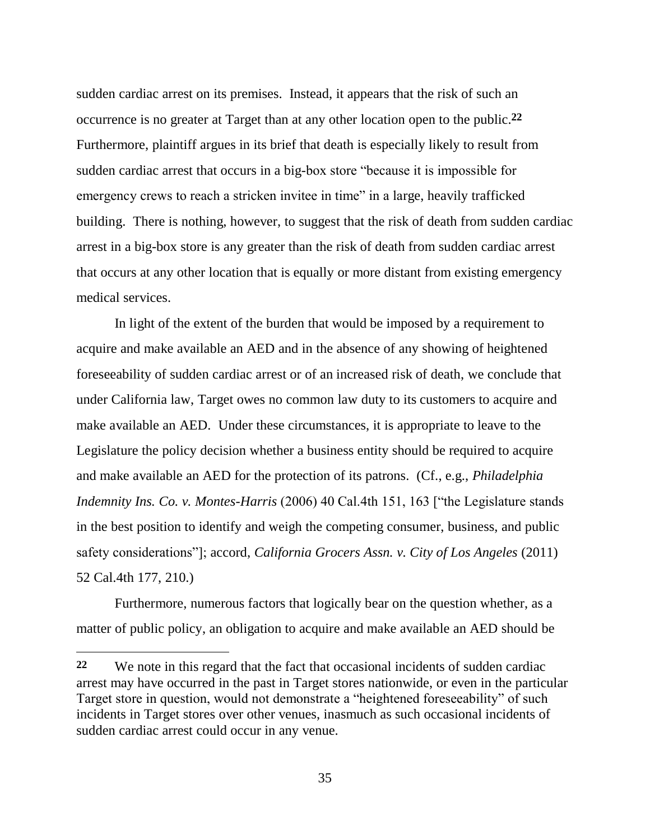sudden cardiac arrest on its premises. Instead, it appears that the risk of such an occurrence is no greater at Target than at any other location open to the public. **22** Furthermore, plaintiff argues in its brief that death is especially likely to result from sudden cardiac arrest that occurs in a big-box store "because it is impossible for emergency crews to reach a stricken invitee in time" in a large, heavily trafficked building. There is nothing, however, to suggest that the risk of death from sudden cardiac arrest in a big-box store is any greater than the risk of death from sudden cardiac arrest that occurs at any other location that is equally or more distant from existing emergency medical services.

In light of the extent of the burden that would be imposed by a requirement to acquire and make available an AED and in the absence of any showing of heightened foreseeability of sudden cardiac arrest or of an increased risk of death, we conclude that under California law, Target owes no common law duty to its customers to acquire and make available an AED. Under these circumstances, it is appropriate to leave to the Legislature the policy decision whether a business entity should be required to acquire and make available an AED for the protection of its patrons. (Cf., e.g., *Philadelphia Indemnity Ins. Co. v. Montes-Harris* (2006) 40 Cal.4th 151, 163 ["the Legislature stands in the best position to identify and weigh the competing consumer, business, and public safety considerations"]; accord, *California Grocers Assn. v. City of Los Angeles* (2011) 52 Cal.4th 177, 210.)

Furthermore, numerous factors that logically bear on the question whether, as a matter of public policy, an obligation to acquire and make available an AED should be

**<sup>22</sup>** We note in this regard that the fact that occasional incidents of sudden cardiac arrest may have occurred in the past in Target stores nationwide, or even in the particular Target store in question, would not demonstrate a "heightened foreseeability" of such incidents in Target stores over other venues, inasmuch as such occasional incidents of sudden cardiac arrest could occur in any venue.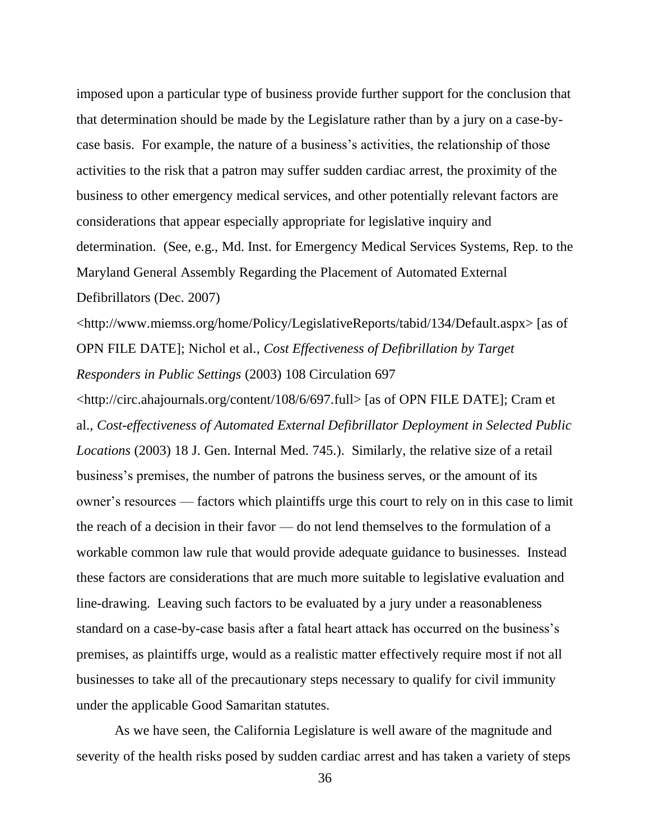imposed upon a particular type of business provide further support for the conclusion that that determination should be made by the Legislature rather than by a jury on a case-bycase basis. For example, the nature of a business"s activities, the relationship of those activities to the risk that a patron may suffer sudden cardiac arrest, the proximity of the business to other emergency medical services, and other potentially relevant factors are considerations that appear especially appropriate for legislative inquiry and determination. (See, e.g., Md. Inst. for Emergency Medical Services Systems, Rep. to the Maryland General Assembly Regarding the Placement of Automated External Defibrillators (Dec. 2007)

<http://www.miemss.org/home/Policy/LegislativeReports/tabid/134/Default.aspx> [as of OPN FILE DATE]; Nichol et al., *Cost Effectiveness of Defibrillation by Target Responders in Public Settings* (2003) 108 Circulation 697

<http://circ.ahajournals.org/content/108/6/697.full> [as of OPN FILE DATE]; Cram et al., *Cost-effectiveness of Automated External Defibrillator Deployment in Selected Public Locations* (2003) 18 J. Gen. Internal Med. 745.). Similarly, the relative size of a retail business"s premises, the number of patrons the business serves, or the amount of its owner"s resources — factors which plaintiffs urge this court to rely on in this case to limit the reach of a decision in their favor — do not lend themselves to the formulation of a workable common law rule that would provide adequate guidance to businesses. Instead these factors are considerations that are much more suitable to legislative evaluation and line-drawing. Leaving such factors to be evaluated by a jury under a reasonableness standard on a case-by-case basis after a fatal heart attack has occurred on the business's premises, as plaintiffs urge, would as a realistic matter effectively require most if not all businesses to take all of the precautionary steps necessary to qualify for civil immunity under the applicable Good Samaritan statutes.

As we have seen, the California Legislature is well aware of the magnitude and severity of the health risks posed by sudden cardiac arrest and has taken a variety of steps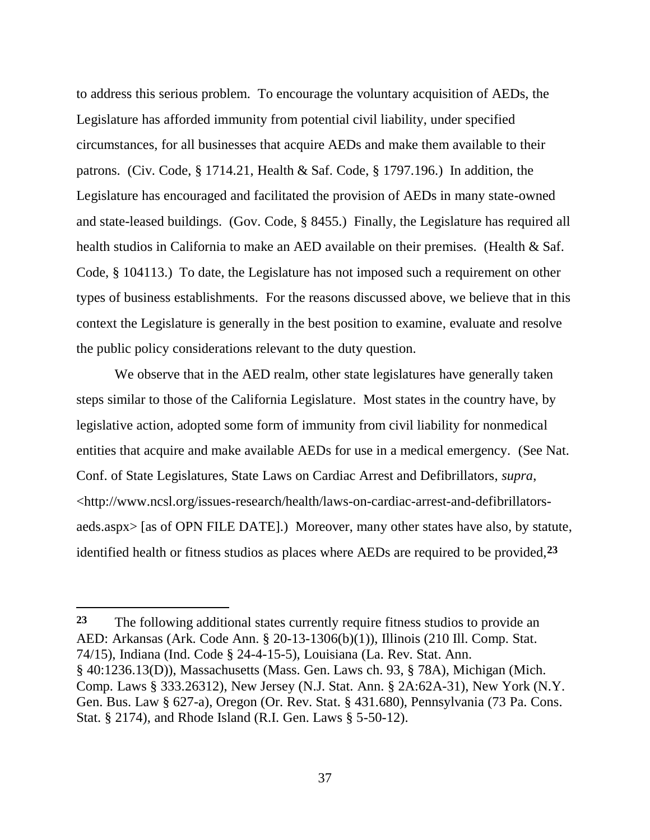to address this serious problem. To encourage the voluntary acquisition of AEDs, the Legislature has afforded immunity from potential civil liability, under specified circumstances, for all businesses that acquire AEDs and make them available to their patrons. (Civ. Code, § 1714.21, Health & Saf. Code, § 1797.196.) In addition, the Legislature has encouraged and facilitated the provision of AEDs in many state-owned and state-leased buildings. (Gov. Code, § 8455.) Finally, the Legislature has required all health studios in California to make an AED available on their premises. (Health & Saf. Code, § 104113.) To date, the Legislature has not imposed such a requirement on other types of business establishments. For the reasons discussed above, we believe that in this context the Legislature is generally in the best position to examine, evaluate and resolve the public policy considerations relevant to the duty question.

We observe that in the AED realm, other state legislatures have generally taken steps similar to those of the California Legislature. Most states in the country have, by legislative action, adopted some form of immunity from civil liability for nonmedical entities that acquire and make available AEDs for use in a medical emergency. (See Nat. Conf. of State Legislatures, State Laws on Cardiac Arrest and Defibrillators, *supra*, <http://www.ncsl.org/issues-research/health/laws-on-cardiac-arrest-and-defibrillatorsaeds.aspx> [as of OPN FILE DATE].) Moreover, many other states have also, by statute, identified health or fitness studios as places where AEDs are required to be provided, **23**

**<sup>23</sup>** The following additional states currently require fitness studios to provide an AED: Arkansas (Ark. Code Ann. § 20-13-1306(b)(1)), Illinois (210 Ill. Comp. Stat. 74/15), Indiana (Ind. Code § 24-4-15-5), Louisiana (La. Rev. Stat. Ann. § 40:1236.13(D)), Massachusetts (Mass. Gen. Laws ch. 93, § 78A), Michigan (Mich. Comp. Laws § 333.26312), New Jersey (N.J. Stat. Ann. § 2A:62A-31), New York (N.Y. Gen. Bus. Law § 627-a), Oregon (Or. Rev. Stat. § 431.680), Pennsylvania (73 Pa. Cons. Stat. § 2174), and Rhode Island (R.I. Gen. Laws § 5-50-12).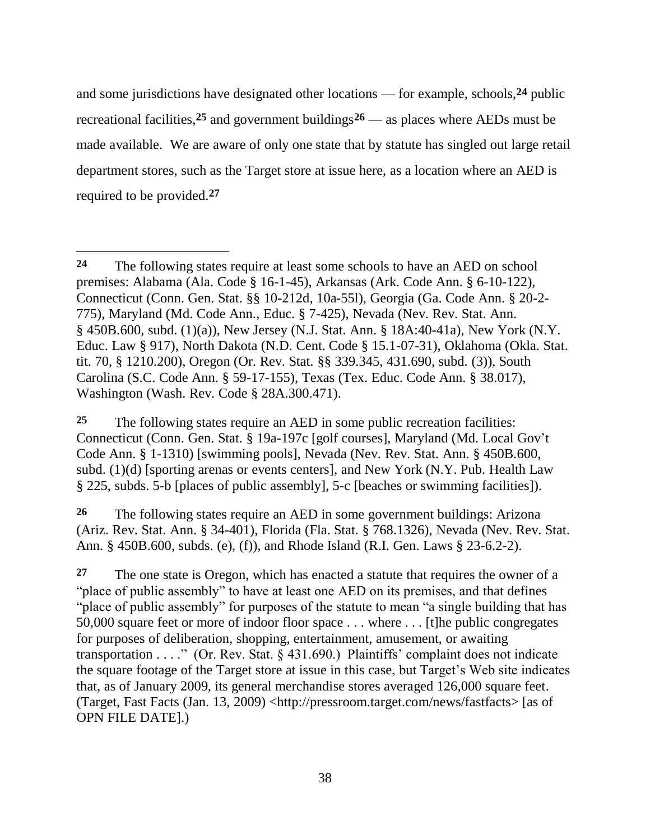and some jurisdictions have designated other locations — for example, schools,**24** public recreational facilities,**25** and government buildings**26** — as places where AEDs must be made available. We are aware of only one state that by statute has singled out large retail department stores, such as the Target store at issue here, as a location where an AED is required to be provided. **27**

 $\overline{a}$ 

**26** The following states require an AED in some government buildings: Arizona (Ariz. Rev. Stat. Ann. § 34-401), Florida (Fla. Stat. § 768.1326), Nevada (Nev. Rev. Stat. Ann. § 450B.600, subds. (e), (f)), and Rhode Island (R.I. Gen. Laws § 23-6.2-2).

**27** The one state is Oregon, which has enacted a statute that requires the owner of a "place of public assembly" to have at least one AED on its premises, and that defines "place of public assembly" for purposes of the statute to mean "a single building that has 50,000 square feet or more of indoor floor space . . . where . . . [t]he public congregates for purposes of deliberation, shopping, entertainment, amusement, or awaiting transportation . . . ." (Or. Rev. Stat. § 431.690.) Plaintiffs" complaint does not indicate the square footage of the Target store at issue in this case, but Target"s Web site indicates that, as of January 2009, its general merchandise stores averaged 126,000 square feet. (Target, Fast Facts (Jan. 13, 2009) <http://pressroom.target.com/news/fastfacts> [as of OPN FILE DATE].)

**<sup>24</sup>** The following states require at least some schools to have an AED on school premises: Alabama (Ala. Code § 16-1-45), Arkansas (Ark. Code Ann. § 6-10-122), Connecticut (Conn. Gen. Stat. §§ 10-212d, 10a-55l), Georgia (Ga. Code Ann. § 20-2- 775), Maryland (Md. Code Ann., Educ. § 7-425), Nevada (Nev. Rev. Stat. Ann. § 450B.600, subd. (1)(a)), New Jersey (N.J. Stat. Ann. § 18A:40-41a), New York (N.Y. Educ. Law § 917), North Dakota (N.D. Cent. Code § 15.1-07-31), Oklahoma (Okla. Stat. tit. 70, § 1210.200), Oregon (Or. Rev. Stat. §§ 339.345, 431.690, subd. (3)), South Carolina (S.C. Code Ann. § 59-17-155), Texas (Tex. Educ. Code Ann. § 38.017), Washington (Wash. Rev. Code § 28A.300.471).

**<sup>25</sup>** The following states require an AED in some public recreation facilities: Connecticut (Conn. Gen. Stat. § 19a-197c [golf courses], Maryland (Md. Local Gov"t Code Ann. § 1-1310) [swimming pools], Nevada (Nev. Rev. Stat. Ann. § 450B.600, subd. (1)(d) [sporting arenas or events centers], and New York (N.Y. Pub. Health Law § 225, subds. 5-b [places of public assembly], 5-c [beaches or swimming facilities]).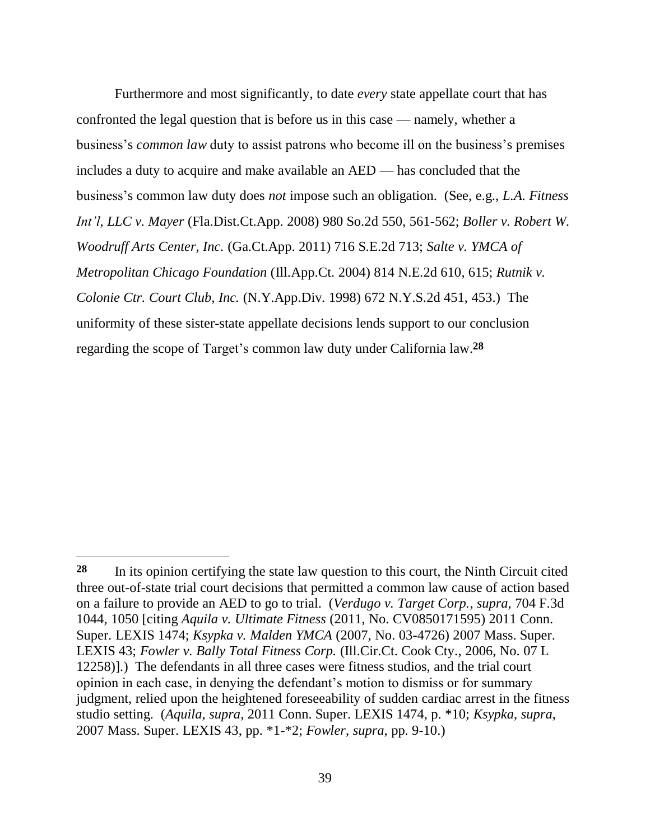Furthermore and most significantly, to date *every* state appellate court that has confronted the legal question that is before us in this case — namely, whether a business"s *common law* duty to assist patrons who become ill on the business"s premises includes a duty to acquire and make available an AED — has concluded that the business"s common law duty does *not* impose such an obligation. (See, e.g., *L.A. Fitness Int'l, LLC v. Mayer* (Fla.Dist.Ct.App. 2008) 980 So.2d 550, 561-562; *Boller v. Robert W. Woodruff Arts Center, Inc.* (Ga.Ct.App. 2011) 716 S.E.2d 713; *Salte v. YMCA of Metropolitan Chicago Foundation* (Ill.App.Ct. 2004) 814 N.E.2d 610, 615; *Rutnik v. Colonie Ctr. Court Club, Inc.* (N.Y.App.Div. 1998) 672 N.Y.S.2d 451, 453.) The uniformity of these sister-state appellate decisions lends support to our conclusion regarding the scope of Target's common law duty under California law.<sup>28</sup>

**<sup>28</sup>** In its opinion certifying the state law question to this court, the Ninth Circuit cited three out-of-state trial court decisions that permitted a common law cause of action based on a failure to provide an AED to go to trial. (*Verdugo v. Target Corp.*, *supra*, 704 F.3d 1044, 1050 [citing *Aquila v. Ultimate Fitness* (2011, No. CV0850171595) 2011 Conn. Super. LEXIS 1474; *Ksypka v. Malden YMCA* (2007, No. 03-4726) 2007 Mass. Super. LEXIS 43; *Fowler v. Bally Total Fitness Corp.* (Ill.Cir.Ct. Cook Cty., 2006, No. 07 L 12258)].) The defendants in all three cases were fitness studios, and the trial court opinion in each case, in denying the defendant"s motion to dismiss or for summary judgment, relied upon the heightened foreseeability of sudden cardiac arrest in the fitness studio setting. (*Aquila*, *supra*, 2011 Conn. Super. LEXIS 1474, p. \*10; *Ksypka*, *supra*, 2007 Mass. Super. LEXIS 43, pp. \*1-\*2; *Fowler*, *supra*, pp. 9-10.)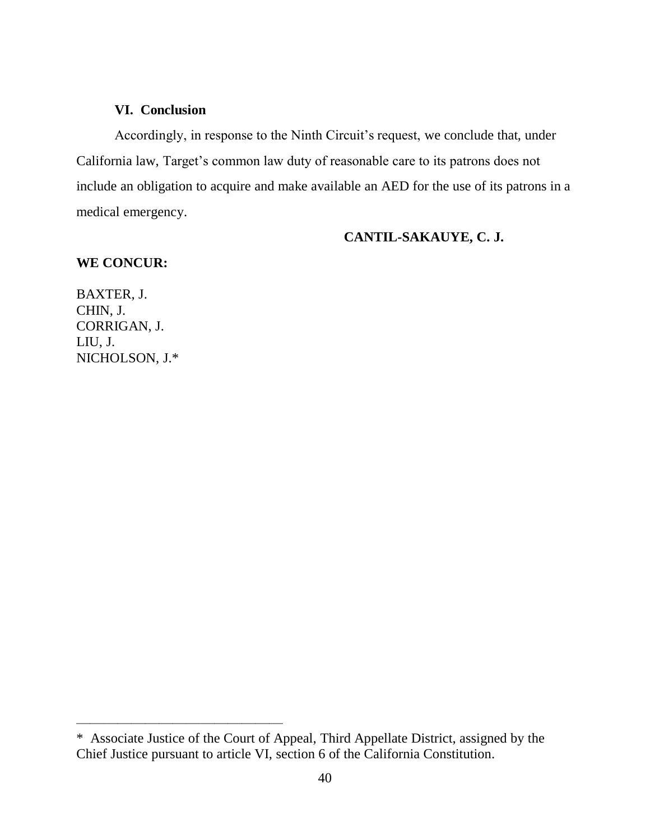## **VI. Conclusion**

Accordingly, in response to the Ninth Circuit's request, we conclude that, under California law, Target's common law duty of reasonable care to its patrons does not include an obligation to acquire and make available an AED for the use of its patrons in a medical emergency.

# **CANTIL-SAKAUYE, C. J.**

# **WE CONCUR:**

BAXTER, J. CHIN, J. CORRIGAN, J. LIU, J. NICHOLSON, J.\*

———————————————

<sup>\*</sup> Associate Justice of the Court of Appeal, Third Appellate District, assigned by the Chief Justice pursuant to article VI, section 6 of the California Constitution.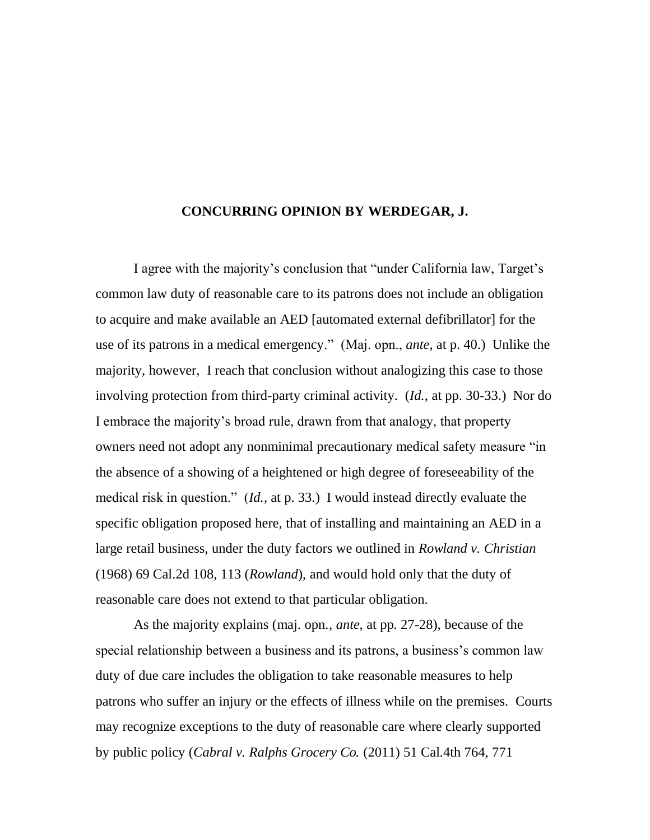#### **CONCURRING OPINION BY WERDEGAR, J.**

I agree with the majority's conclusion that "under California law, Target's common law duty of reasonable care to its patrons does not include an obligation to acquire and make available an AED [automated external defibrillator] for the use of its patrons in a medical emergency." (Maj. opn., *ante*, at p. 40.) Unlike the majority, however, I reach that conclusion without analogizing this case to those involving protection from third-party criminal activity. (*Id.*, at pp. 30-33.) Nor do I embrace the majority"s broad rule, drawn from that analogy, that property owners need not adopt any nonminimal precautionary medical safety measure "in the absence of a showing of a heightened or high degree of foreseeability of the medical risk in question." (*Id.*, at p. 33.) I would instead directly evaluate the specific obligation proposed here, that of installing and maintaining an AED in a large retail business, under the duty factors we outlined in *Rowland v. Christian* (1968) 69 Cal.2d 108, 113 (*Rowland*), and would hold only that the duty of reasonable care does not extend to that particular obligation.

As the majority explains (maj. opn., *ante*, at pp. 27-28), because of the special relationship between a business and its patrons, a business"s common law duty of due care includes the obligation to take reasonable measures to help patrons who suffer an injury or the effects of illness while on the premises. Courts may recognize exceptions to the duty of reasonable care where clearly supported by public policy (*Cabral v. Ralphs Grocery Co.* (2011) 51 Cal.4th 764, 771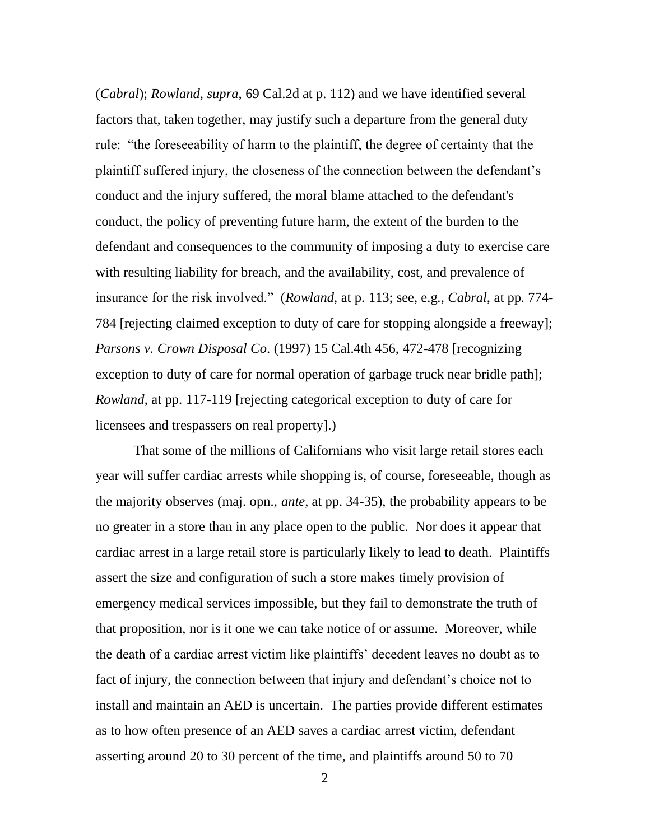(*Cabral*); *Rowland*, *supra*, 69 Cal.2d at p. 112) and we have identified several factors that, taken together, may justify such a departure from the general duty rule: "the foreseeability of harm to the plaintiff, the degree of certainty that the plaintiff suffered injury, the closeness of the connection between the defendant"s conduct and the injury suffered, the moral blame attached to the defendant's conduct, the policy of preventing future harm, the extent of the burden to the defendant and consequences to the community of imposing a duty to exercise care with resulting liability for breach, and the availability, cost, and prevalence of insurance for the risk involved." (*Rowland*, at p. 113; see, e.g., *Cabral*, at pp. 774- 784 [rejecting claimed exception to duty of care for stopping alongside a freeway]; *Parsons v. Crown Disposal Co*. (1997) 15 Cal.4th 456, 472-478 [recognizing exception to duty of care for normal operation of garbage truck near bridle path]; *Rowland*, at pp. 117-119 [rejecting categorical exception to duty of care for licensees and trespassers on real property].)

That some of the millions of Californians who visit large retail stores each year will suffer cardiac arrests while shopping is, of course, foreseeable, though as the majority observes (maj. opn., *ante*, at pp. 34-35), the probability appears to be no greater in a store than in any place open to the public. Nor does it appear that cardiac arrest in a large retail store is particularly likely to lead to death. Plaintiffs assert the size and configuration of such a store makes timely provision of emergency medical services impossible, but they fail to demonstrate the truth of that proposition, nor is it one we can take notice of or assume. Moreover, while the death of a cardiac arrest victim like plaintiffs" decedent leaves no doubt as to fact of injury, the connection between that injury and defendant's choice not to install and maintain an AED is uncertain. The parties provide different estimates as to how often presence of an AED saves a cardiac arrest victim, defendant asserting around 20 to 30 percent of the time, and plaintiffs around 50 to 70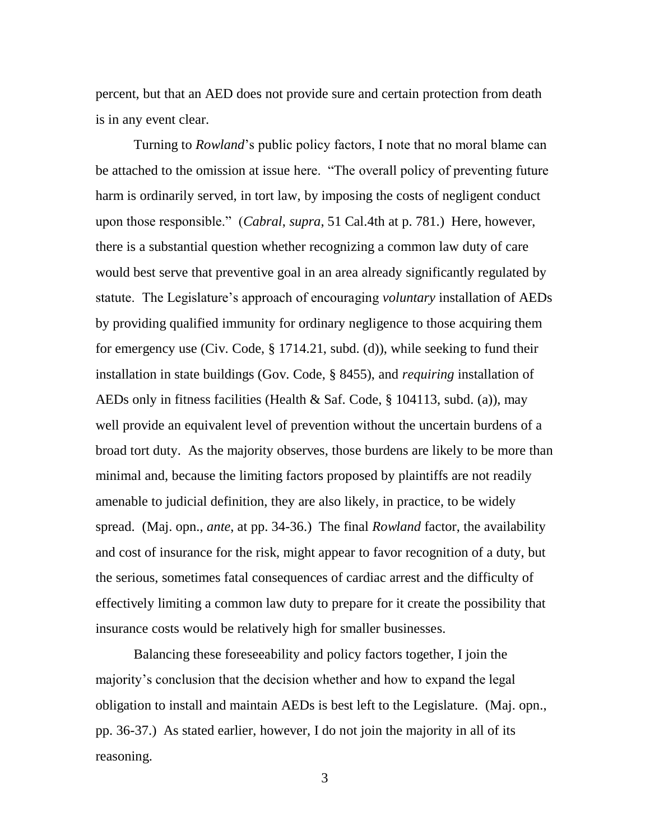percent, but that an AED does not provide sure and certain protection from death is in any event clear.

Turning to *Rowland*"s public policy factors, I note that no moral blame can be attached to the omission at issue here. "The overall policy of preventing future harm is ordinarily served, in tort law, by imposing the costs of negligent conduct upon those responsible." (*Cabral*, *supra*, 51 Cal.4th at p. 781.) Here, however, there is a substantial question whether recognizing a common law duty of care would best serve that preventive goal in an area already significantly regulated by statute. The Legislature's approach of encouraging *voluntary* installation of AEDs by providing qualified immunity for ordinary negligence to those acquiring them for emergency use (Civ. Code, § 1714.21, subd. (d)), while seeking to fund their installation in state buildings (Gov. Code, § 8455), and *requiring* installation of AEDs only in fitness facilities (Health & Saf. Code, § 104113, subd. (a)), may well provide an equivalent level of prevention without the uncertain burdens of a broad tort duty. As the majority observes, those burdens are likely to be more than minimal and, because the limiting factors proposed by plaintiffs are not readily amenable to judicial definition, they are also likely, in practice, to be widely spread. (Maj. opn., *ante*, at pp. 34-36.) The final *Rowland* factor, the availability and cost of insurance for the risk, might appear to favor recognition of a duty, but the serious, sometimes fatal consequences of cardiac arrest and the difficulty of effectively limiting a common law duty to prepare for it create the possibility that insurance costs would be relatively high for smaller businesses.

Balancing these foreseeability and policy factors together, I join the majority"s conclusion that the decision whether and how to expand the legal obligation to install and maintain AEDs is best left to the Legislature. (Maj. opn., pp. 36-37.) As stated earlier, however, I do not join the majority in all of its reasoning.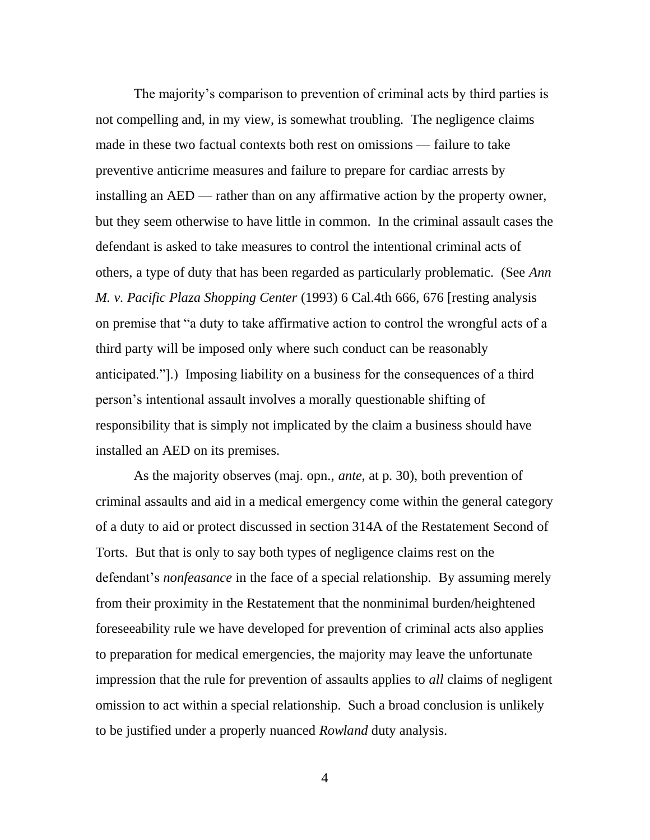The majority"s comparison to prevention of criminal acts by third parties is not compelling and, in my view, is somewhat troubling. The negligence claims made in these two factual contexts both rest on omissions — failure to take preventive anticrime measures and failure to prepare for cardiac arrests by installing an AED — rather than on any affirmative action by the property owner, but they seem otherwise to have little in common. In the criminal assault cases the defendant is asked to take measures to control the intentional criminal acts of others, a type of duty that has been regarded as particularly problematic. (See *Ann M. v. Pacific Plaza Shopping Center* (1993) 6 Cal.4th 666, 676 [resting analysis on premise that "a duty to take affirmative action to control the wrongful acts of a third party will be imposed only where such conduct can be reasonably anticipated."].) Imposing liability on a business for the consequences of a third person"s intentional assault involves a morally questionable shifting of responsibility that is simply not implicated by the claim a business should have installed an AED on its premises.

As the majority observes (maj. opn., *ante*, at p. 30), both prevention of criminal assaults and aid in a medical emergency come within the general category of a duty to aid or protect discussed in section 314A of the Restatement Second of Torts. But that is only to say both types of negligence claims rest on the defendant"s *nonfeasance* in the face of a special relationship. By assuming merely from their proximity in the Restatement that the nonminimal burden/heightened foreseeability rule we have developed for prevention of criminal acts also applies to preparation for medical emergencies, the majority may leave the unfortunate impression that the rule for prevention of assaults applies to *all* claims of negligent omission to act within a special relationship. Such a broad conclusion is unlikely to be justified under a properly nuanced *Rowland* duty analysis.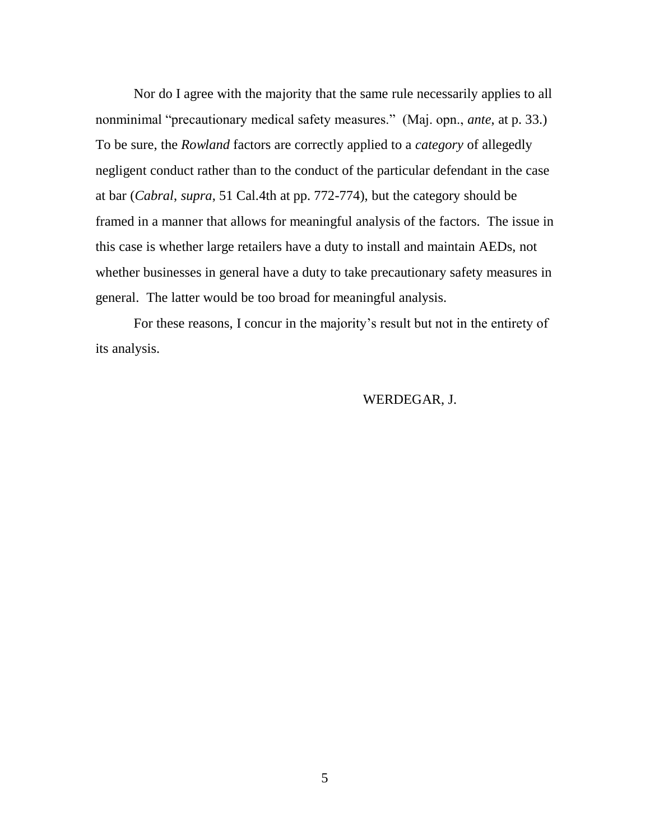Nor do I agree with the majority that the same rule necessarily applies to all nonminimal "precautionary medical safety measures." (Maj. opn., *ante*, at p. 33.) To be sure, the *Rowland* factors are correctly applied to a *category* of allegedly negligent conduct rather than to the conduct of the particular defendant in the case at bar (*Cabral*, *supra*, 51 Cal.4th at pp. 772-774), but the category should be framed in a manner that allows for meaningful analysis of the factors. The issue in this case is whether large retailers have a duty to install and maintain AEDs, not whether businesses in general have a duty to take precautionary safety measures in general. The latter would be too broad for meaningful analysis.

For these reasons, I concur in the majority's result but not in the entirety of its analysis.

### WERDEGAR, J.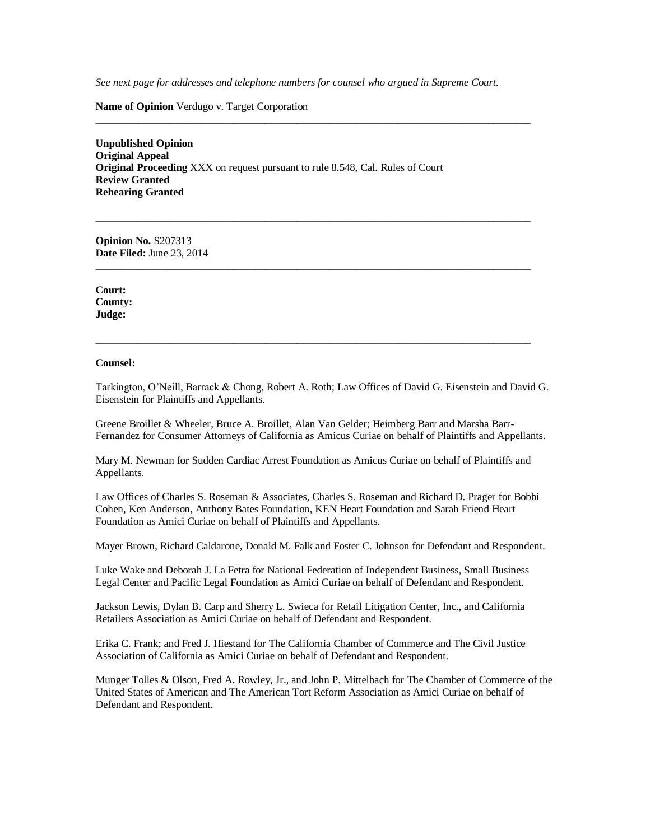*See next page for addresses and telephone numbers for counsel who argued in Supreme Court.*

**\_\_\_\_\_\_\_\_\_\_\_\_\_\_\_\_\_\_\_\_\_\_\_\_\_\_\_\_\_\_\_\_\_\_\_\_\_\_\_\_\_\_\_\_\_\_\_\_\_\_\_\_\_\_\_\_\_\_\_\_\_\_\_\_\_\_\_\_\_\_\_\_\_\_\_\_\_\_\_\_\_\_**

**\_\_\_\_\_\_\_\_\_\_\_\_\_\_\_\_\_\_\_\_\_\_\_\_\_\_\_\_\_\_\_\_\_\_\_\_\_\_\_\_\_\_\_\_\_\_\_\_\_\_\_\_\_\_\_\_\_\_\_\_\_\_\_\_\_\_\_\_\_\_\_\_\_\_\_\_\_\_\_\_\_\_**

**\_\_\_\_\_\_\_\_\_\_\_\_\_\_\_\_\_\_\_\_\_\_\_\_\_\_\_\_\_\_\_\_\_\_\_\_\_\_\_\_\_\_\_\_\_\_\_\_\_\_\_\_\_\_\_\_\_\_\_\_\_\_\_\_\_\_\_\_\_\_\_\_\_\_\_\_\_\_\_\_\_\_**

**\_\_\_\_\_\_\_\_\_\_\_\_\_\_\_\_\_\_\_\_\_\_\_\_\_\_\_\_\_\_\_\_\_\_\_\_\_\_\_\_\_\_\_\_\_\_\_\_\_\_\_\_\_\_\_\_\_\_\_\_\_\_\_\_\_\_\_\_\_\_\_\_\_\_\_\_\_\_\_\_\_\_**

**Name of Opinion** Verdugo v. Target Corporation

**Unpublished Opinion Original Appeal Original Proceeding** XXX on request pursuant to rule 8.548, Cal. Rules of Court **Review Granted Rehearing Granted**

**Opinion No.** S207313 **Date Filed:** June 23, 2014

**Court: County: Judge:**

#### **Counsel:**

Tarkington, O"Neill, Barrack & Chong, Robert A. Roth; Law Offices of David G. Eisenstein and David G. Eisenstein for Plaintiffs and Appellants.

Greene Broillet & Wheeler, Bruce A. Broillet, Alan Van Gelder; Heimberg Barr and Marsha Barr-Fernandez for Consumer Attorneys of California as Amicus Curiae on behalf of Plaintiffs and Appellants.

Mary M. Newman for Sudden Cardiac Arrest Foundation as Amicus Curiae on behalf of Plaintiffs and Appellants.

Law Offices of Charles S. Roseman & Associates, Charles S. Roseman and Richard D. Prager for Bobbi Cohen, Ken Anderson, Anthony Bates Foundation, KEN Heart Foundation and Sarah Friend Heart Foundation as Amici Curiae on behalf of Plaintiffs and Appellants.

Mayer Brown, Richard Caldarone, Donald M. Falk and Foster C. Johnson for Defendant and Respondent.

Luke Wake and Deborah J. La Fetra for National Federation of Independent Business, Small Business Legal Center and Pacific Legal Foundation as Amici Curiae on behalf of Defendant and Respondent.

Jackson Lewis, Dylan B. Carp and Sherry L. Swieca for Retail Litigation Center, Inc., and California Retailers Association as Amici Curiae on behalf of Defendant and Respondent.

Erika C. Frank; and Fred J. Hiestand for The California Chamber of Commerce and The Civil Justice Association of California as Amici Curiae on behalf of Defendant and Respondent.

Munger Tolles & Olson, Fred A. Rowley, Jr., and John P. Mittelbach for The Chamber of Commerce of the United States of American and The American Tort Reform Association as Amici Curiae on behalf of Defendant and Respondent.